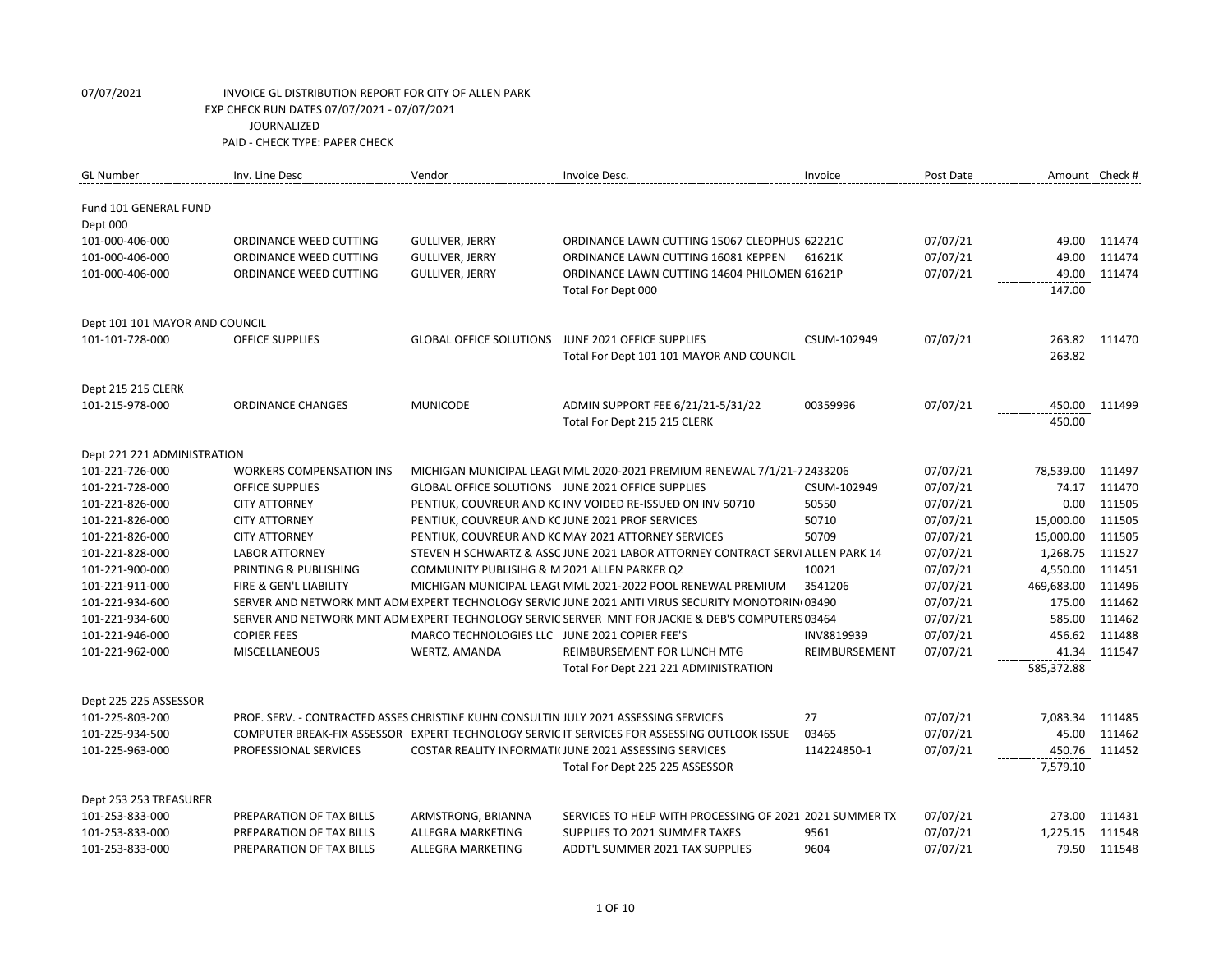| <b>GL Number</b>               | Inv. Line Desc                                                                       | Vendor                                           | Invoice Desc.                                                                                     | Invoice       | Post Date |                 | Amount Check # |
|--------------------------------|--------------------------------------------------------------------------------------|--------------------------------------------------|---------------------------------------------------------------------------------------------------|---------------|-----------|-----------------|----------------|
|                                |                                                                                      |                                                  |                                                                                                   |               |           |                 |                |
| Fund 101 GENERAL FUND          |                                                                                      |                                                  |                                                                                                   |               |           |                 |                |
| Dept 000<br>101-000-406-000    | ORDINANCE WEED CUTTING                                                               | <b>GULLIVER, JERRY</b>                           | ORDINANCE LAWN CUTTING 15067 CLEOPHUS 62221C                                                      |               | 07/07/21  | 49.00           | 111474         |
| 101-000-406-000                | ORDINANCE WEED CUTTING                                                               |                                                  | ORDINANCE LAWN CUTTING 16081 KEPPEN                                                               | 61621K        | 07/07/21  | 49.00           | 111474         |
|                                |                                                                                      | <b>GULLIVER, JERRY</b>                           |                                                                                                   |               |           |                 |                |
| 101-000-406-000                | ORDINANCE WEED CUTTING                                                               | <b>GULLIVER, JERRY</b>                           | ORDINANCE LAWN CUTTING 14604 PHILOMEN 61621P<br>Total For Dept 000                                |               | 07/07/21  | 49.00<br>147.00 | 111474         |
|                                |                                                                                      |                                                  |                                                                                                   |               |           |                 |                |
| Dept 101 101 MAYOR AND COUNCIL |                                                                                      |                                                  |                                                                                                   |               |           |                 |                |
| 101-101-728-000                | <b>OFFICE SUPPLIES</b>                                                               | <b>GLOBAL OFFICE SOLUTIONS</b>                   | JUNE 2021 OFFICE SUPPLIES                                                                         | CSUM-102949   | 07/07/21  | 263.82          | 111470         |
|                                |                                                                                      |                                                  | Total For Dept 101 101 MAYOR AND COUNCIL                                                          |               |           | 263.82          |                |
| Dept 215 215 CLERK             |                                                                                      |                                                  |                                                                                                   |               |           |                 |                |
| 101-215-978-000                | <b>ORDINANCE CHANGES</b>                                                             | <b>MUNICODE</b>                                  | ADMIN SUPPORT FEE 6/21/21-5/31/22                                                                 | 00359996      | 07/07/21  | 450.00          | 111499         |
|                                |                                                                                      |                                                  | Total For Dept 215 215 CLERK                                                                      |               |           | 450.00          |                |
|                                |                                                                                      |                                                  |                                                                                                   |               |           |                 |                |
| Dept 221 221 ADMINISTRATION    |                                                                                      |                                                  |                                                                                                   |               |           |                 |                |
| 101-221-726-000                | <b>WORKERS COMPENSATION INS</b>                                                      |                                                  | MICHIGAN MUNICIPAL LEAGUMML 2020-2021 PREMIUM RENEWAL 7/1/21-7 2433206                            |               | 07/07/21  | 78,539.00       | 111497         |
| 101-221-728-000                | <b>OFFICE SUPPLIES</b>                                                               |                                                  | GLOBAL OFFICE SOLUTIONS JUNE 2021 OFFICE SUPPLIES                                                 | CSUM-102949   | 07/07/21  | 74.17           | 111470         |
| 101-221-826-000                | <b>CITY ATTORNEY</b>                                                                 |                                                  | PENTIUK, COUVREUR AND KC INV VOIDED RE-ISSUED ON INV 50710                                        | 50550         | 07/07/21  | 0.00            | 111505         |
| 101-221-826-000                | <b>CITY ATTORNEY</b>                                                                 | PENTIUK, COUVREUR AND KC JUNE 2021 PROF SERVICES |                                                                                                   | 50710         | 07/07/21  | 15,000.00       | 111505         |
| 101-221-826-000                | <b>CITY ATTORNEY</b>                                                                 |                                                  | PENTIUK, COUVREUR AND KC MAY 2021 ATTORNEY SERVICES                                               | 50709         | 07/07/21  | 15,000.00       | 111505         |
| 101-221-828-000                | <b>LABOR ATTORNEY</b>                                                                |                                                  | STEVEN H SCHWARTZ & ASSC JUNE 2021 LABOR ATTORNEY CONTRACT SERVI ALLEN PARK 14                    |               | 07/07/21  | 1,268.75        | 111527         |
| 101-221-900-000                | PRINTING & PUBLISHING                                                                | COMMUNITY PUBLISIHG & M 2021 ALLEN PARKER Q2     |                                                                                                   | 10021         | 07/07/21  | 4,550.00        | 111451         |
| 101-221-911-000                | FIRE & GEN'L LIABILITY                                                               |                                                  | MICHIGAN MUNICIPAL LEAGL MML 2021-2022 POOL RENEWAL PREMIUM                                       | 3541206       | 07/07/21  | 469,683.00      | 111496         |
| 101-221-934-600                |                                                                                      |                                                  | SERVER AND NETWORK MNT ADM EXPERT TECHNOLOGY SERVIC JUNE 2021 ANTI VIRUS SECURITY MONOTORIN(03490 |               | 07/07/21  | 175.00          | 111462         |
| 101-221-934-600                |                                                                                      |                                                  | SERVER AND NETWORK MNT ADM EXPERT TECHNOLOGY SERVIC SERVER MNT FOR JACKIE & DEB'S COMPUTERS 03464 |               | 07/07/21  | 585.00          | 111462         |
| 101-221-946-000                | <b>COPIER FEES</b>                                                                   | MARCO TECHNOLOGIES LLC JUNE 2021 COPIER FEE'S    |                                                                                                   | INV8819939    | 07/07/21  | 456.62          | 111488         |
| 101-221-962-000                | <b>MISCELLANEOUS</b>                                                                 | WERTZ, AMANDA                                    | REIMBURSEMENT FOR LUNCH MTG                                                                       | REIMBURSEMENT | 07/07/21  | 41.34           | 111547         |
|                                |                                                                                      |                                                  | Total For Dept 221 221 ADMINISTRATION                                                             |               |           | 585,372.88      |                |
| Dept 225 225 ASSESSOR          |                                                                                      |                                                  |                                                                                                   |               |           |                 |                |
| 101-225-803-200                | PROF. SERV. - CONTRACTED ASSES CHRISTINE KUHN CONSULTIN JULY 2021 ASSESSING SERVICES |                                                  |                                                                                                   | 27            | 07/07/21  | 7,083.34        | 111485         |
| 101-225-934-500                |                                                                                      |                                                  | COMPUTER BREAK-FIX ASSESSOR EXPERT TECHNOLOGY SERVIC IT SERVICES FOR ASSESSING OUTLOOK ISSUE      | 03465         | 07/07/21  | 45.00           | 111462         |
| 101-225-963-000                | PROFESSIONAL SERVICES                                                                |                                                  | COSTAR REALITY INFORMATI(JUNE 2021 ASSESSING SERVICES                                             | 114224850-1   | 07/07/21  | 450.76          | 111452         |
|                                |                                                                                      |                                                  | Total For Dept 225 225 ASSESSOR                                                                   |               |           | 7,579.10        |                |
|                                |                                                                                      |                                                  |                                                                                                   |               |           |                 |                |
| Dept 253 253 TREASURER         |                                                                                      |                                                  |                                                                                                   |               |           |                 |                |
| 101-253-833-000                | PREPARATION OF TAX BILLS                                                             | ARMSTRONG, BRIANNA                               | SERVICES TO HELP WITH PROCESSING OF 2021 2021 SUMMER TX                                           |               | 07/07/21  | 273.00          | 111431         |
| 101-253-833-000                | PREPARATION OF TAX BILLS                                                             | ALLEGRA MARKETING                                | SUPPLIES TO 2021 SUMMER TAXES                                                                     | 9561          | 07/07/21  | 1,225.15        | 111548         |
| 101-253-833-000                | PREPARATION OF TAX BILLS                                                             | <b>ALLEGRA MARKETING</b>                         | ADDT'L SUMMER 2021 TAX SUPPLIES                                                                   | 9604          | 07/07/21  | 79.50           | 111548         |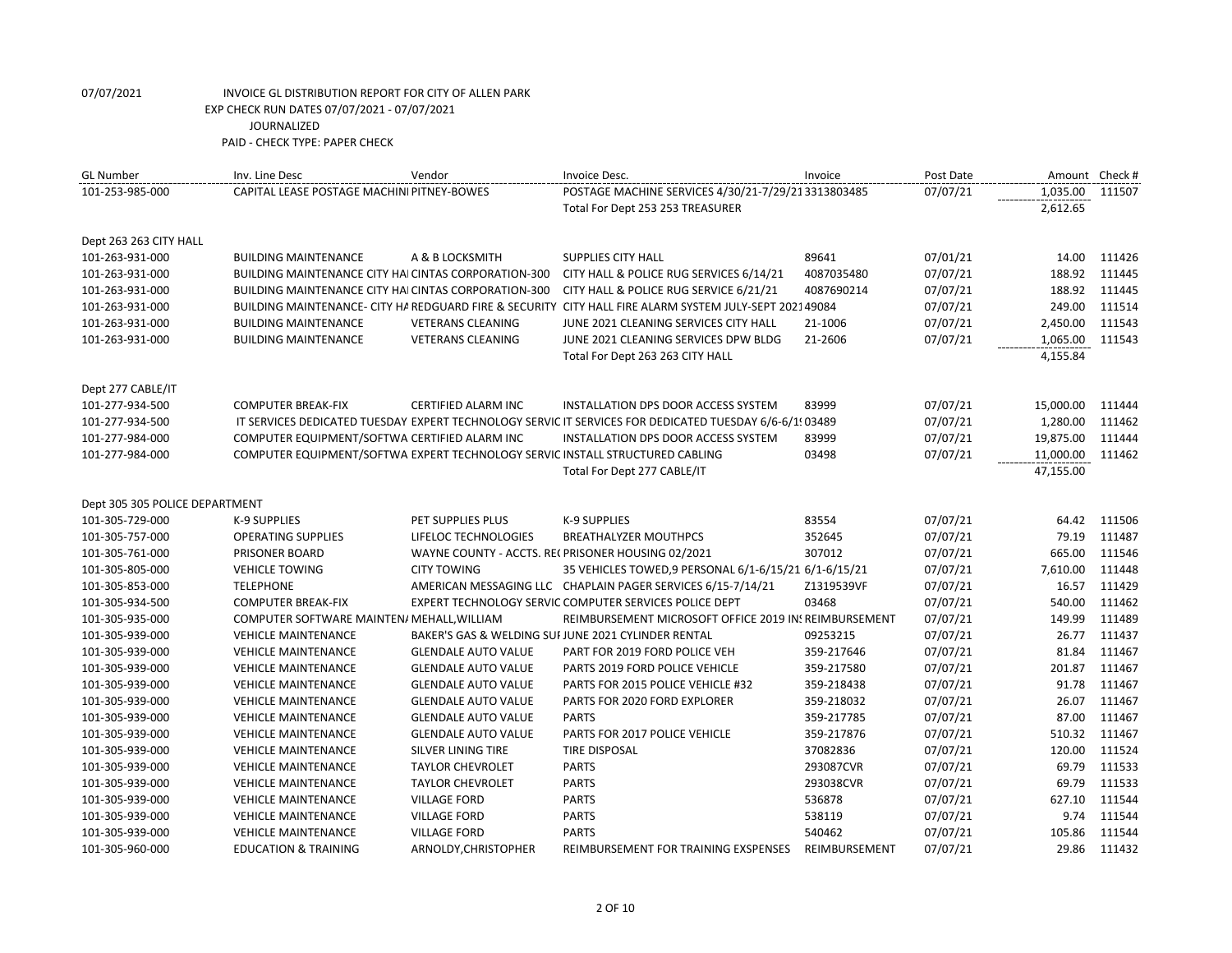| <b>GL Number</b>               | Inv. Line Desc                                                                | Vendor                     | Invoice Desc.                                                                                           | Invoice       | Post Date | Amount Check # |        |
|--------------------------------|-------------------------------------------------------------------------------|----------------------------|---------------------------------------------------------------------------------------------------------|---------------|-----------|----------------|--------|
| 101-253-985-000                | CAPITAL LEASE POSTAGE MACHINI PITNEY-BOWES                                    |                            | POSTAGE MACHINE SERVICES 4/30/21-7/29/213313803485                                                      |               | 07/07/21  | 1,035.00       | 111507 |
|                                |                                                                               |                            | Total For Dept 253 253 TREASURER                                                                        |               |           | 2,612.65       |        |
| Dept 263 263 CITY HALL         |                                                                               |                            |                                                                                                         |               |           |                |        |
| 101-263-931-000                | <b>BUILDING MAINTENANCE</b>                                                   | A & B LOCKSMITH            | SUPPLIES CITY HALL                                                                                      | 89641         | 07/01/21  | 14.00          | 111426 |
| 101-263-931-000                | BUILDING MAINTENANCE CITY HAI CINTAS CORPORATION-300                          |                            | CITY HALL & POLICE RUG SERVICES 6/14/21                                                                 | 4087035480    | 07/07/21  | 188.92         | 111445 |
| 101-263-931-000                | BUILDING MAINTENANCE CITY HAI CINTAS CORPORATION-300                          |                            | CITY HALL & POLICE RUG SERVICE 6/21/21                                                                  | 4087690214    | 07/07/21  | 188.92         | 111445 |
| 101-263-931-000                |                                                                               |                            | BUILDING MAINTENANCE- CITY HA REDGUARD FIRE & SECURITY CITY HALL FIRE ALARM SYSTEM JULY-SEPT 202149084  |               | 07/07/21  | 249.00         | 111514 |
| 101-263-931-000                | <b>BUILDING MAINTENANCE</b>                                                   | <b>VETERANS CLEANING</b>   | JUNE 2021 CLEANING SERVICES CITY HALL                                                                   | 21-1006       | 07/07/21  | 2,450.00       | 111543 |
| 101-263-931-000                | <b>BUILDING MAINTENANCE</b>                                                   | <b>VETERANS CLEANING</b>   | JUNE 2021 CLEANING SERVICES DPW BLDG                                                                    | 21-2606       | 07/07/21  | 1,065.00       | 111543 |
|                                |                                                                               |                            | Total For Dept 263 263 CITY HALL                                                                        |               |           | 4,155.84       |        |
| Dept 277 CABLE/IT              |                                                                               |                            |                                                                                                         |               |           |                |        |
| 101-277-934-500                | <b>COMPUTER BREAK-FIX</b>                                                     | CERTIFIED ALARM INC        | INSTALLATION DPS DOOR ACCESS SYSTEM                                                                     | 83999         | 07/07/21  | 15,000.00      | 111444 |
| 101-277-934-500                |                                                                               |                            | IT SERVICES DEDICATED TUESDAY EXPERT TECHNOLOGY SERVIC IT SERVICES FOR DEDICATED TUESDAY 6/6-6/1! 03489 |               | 07/07/21  | 1,280.00       | 111462 |
| 101-277-984-000                | COMPUTER EQUIPMENT/SOFTWA CERTIFIED ALARM INC                                 |                            | <b>INSTALLATION DPS DOOR ACCESS SYSTEM</b>                                                              | 83999         | 07/07/21  | 19,875.00      | 111444 |
| 101-277-984-000                | COMPUTER EQUIPMENT/SOFTWA EXPERT TECHNOLOGY SERVIC INSTALL STRUCTURED CABLING |                            |                                                                                                         | 03498         | 07/07/21  | 11,000.00      | 111462 |
|                                |                                                                               |                            | Total For Dept 277 CABLE/IT                                                                             |               |           | 47,155.00      |        |
| Dept 305 305 POLICE DEPARTMENT |                                                                               |                            |                                                                                                         |               |           |                |        |
| 101-305-729-000                | <b>K-9 SUPPLIES</b>                                                           | PET SUPPLIES PLUS          | <b>K-9 SUPPLIES</b>                                                                                     | 83554         | 07/07/21  | 64.42          | 111506 |
| 101-305-757-000                | <b>OPERATING SUPPLIES</b>                                                     | LIFELOC TECHNOLOGIES       | <b>BREATHALYZER MOUTHPCS</b>                                                                            | 352645        | 07/07/21  | 79.19          | 111487 |
| 101-305-761-000                | PRISONER BOARD                                                                |                            | WAYNE COUNTY - ACCTS. RECPRISONER HOUSING 02/2021                                                       | 307012        | 07/07/21  | 665.00         | 111546 |
| 101-305-805-000                | <b>VEHICLE TOWING</b>                                                         | <b>CITY TOWING</b>         | 35 VEHICLES TOWED, 9 PERSONAL 6/1-6/15/21 6/1-6/15/21                                                   |               | 07/07/21  | 7,610.00       | 111448 |
| 101-305-853-000                | <b>TELEPHONE</b>                                                              |                            | AMERICAN MESSAGING LLC CHAPLAIN PAGER SERVICES 6/15-7/14/21                                             | Z1319539VF    | 07/07/21  | 16.57          | 111429 |
| 101-305-934-500                | <b>COMPUTER BREAK-FIX</b>                                                     |                            | EXPERT TECHNOLOGY SERVIC COMPUTER SERVICES POLICE DEPT                                                  | 03468         | 07/07/21  | 540.00         | 111462 |
| 101-305-935-000                | COMPUTER SOFTWARE MAINTEN/ MEHALL, WILLIAM                                    |                            | REIMBURSEMENT MICROSOFT OFFICE 2019 IN REIMBURSEMENT                                                    |               | 07/07/21  | 149.99         | 111489 |
| 101-305-939-000                | <b>VEHICLE MAINTENANCE</b>                                                    |                            | BAKER'S GAS & WELDING SUI JUNE 2021 CYLINDER RENTAL                                                     | 09253215      | 07/07/21  | 26.77          | 111437 |
| 101-305-939-000                | <b>VEHICLE MAINTENANCE</b>                                                    | <b>GLENDALE AUTO VALUE</b> | PART FOR 2019 FORD POLICE VEH                                                                           | 359-217646    | 07/07/21  | 81.84          | 111467 |
| 101-305-939-000                | <b>VEHICLE MAINTENANCE</b>                                                    | <b>GLENDALE AUTO VALUE</b> | PARTS 2019 FORD POLICE VEHICLE                                                                          | 359-217580    | 07/07/21  | 201.87         | 111467 |
| 101-305-939-000                | <b>VEHICLE MAINTENANCE</b>                                                    | <b>GLENDALE AUTO VALUE</b> | PARTS FOR 2015 POLICE VEHICLE #32                                                                       | 359-218438    | 07/07/21  | 91.78          | 111467 |
| 101-305-939-000                | <b>VEHICLE MAINTENANCE</b>                                                    | <b>GLENDALE AUTO VALUE</b> | PARTS FOR 2020 FORD EXPLORER                                                                            | 359-218032    | 07/07/21  | 26.07          | 111467 |
| 101-305-939-000                | <b>VEHICLE MAINTENANCE</b>                                                    | <b>GLENDALE AUTO VALUE</b> | <b>PARTS</b>                                                                                            | 359-217785    | 07/07/21  | 87.00          | 111467 |
| 101-305-939-000                | <b>VEHICLE MAINTENANCE</b>                                                    | <b>GLENDALE AUTO VALUE</b> | PARTS FOR 2017 POLICE VEHICLE                                                                           | 359-217876    | 07/07/21  | 510.32         | 111467 |
| 101-305-939-000                | <b>VEHICLE MAINTENANCE</b>                                                    | SILVER LINING TIRE         | <b>TIRE DISPOSAL</b>                                                                                    | 37082836      | 07/07/21  | 120.00         | 111524 |
| 101-305-939-000                | <b>VEHICLE MAINTENANCE</b>                                                    | <b>TAYLOR CHEVROLET</b>    | <b>PARTS</b>                                                                                            | 293087CVR     | 07/07/21  | 69.79          | 111533 |
| 101-305-939-000                | <b>VEHICLE MAINTENANCE</b>                                                    | <b>TAYLOR CHEVROLET</b>    | <b>PARTS</b>                                                                                            | 293038CVR     | 07/07/21  | 69.79          | 111533 |
| 101-305-939-000                | <b>VEHICLE MAINTENANCE</b>                                                    | <b>VILLAGE FORD</b>        | <b>PARTS</b>                                                                                            | 536878        | 07/07/21  | 627.10         | 111544 |
| 101-305-939-000                | <b>VEHICLE MAINTENANCE</b>                                                    | <b>VILLAGE FORD</b>        | <b>PARTS</b>                                                                                            | 538119        | 07/07/21  | 9.74           | 111544 |
| 101-305-939-000                | <b>VEHICLE MAINTENANCE</b>                                                    | <b>VILLAGE FORD</b>        | <b>PARTS</b>                                                                                            | 540462        | 07/07/21  | 105.86         | 111544 |
| 101-305-960-000                | <b>EDUCATION &amp; TRAINING</b>                                               | ARNOLDY, CHRISTOPHER       | REIMBURSEMENT FOR TRAINING EXSPENSES                                                                    | REIMBURSEMENT | 07/07/21  | 29.86          | 111432 |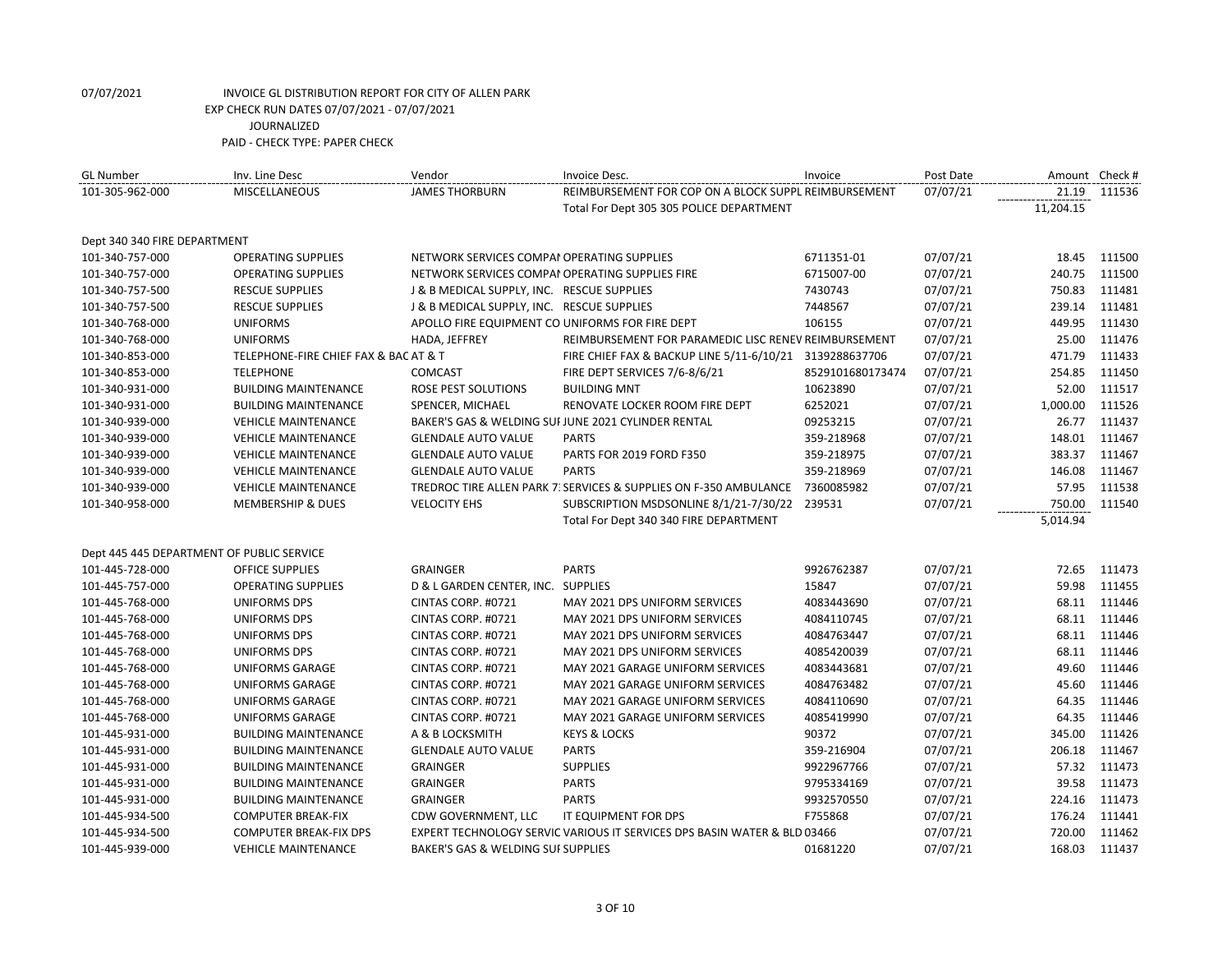| <b>GL Number</b>                          | Inv. Line Desc                        | Vendor                                          | Invoice Desc.                                                            | Invoice          | Post Date | Amount Check # |        |
|-------------------------------------------|---------------------------------------|-------------------------------------------------|--------------------------------------------------------------------------|------------------|-----------|----------------|--------|
| 101-305-962-000                           | <b>MISCELLANEOUS</b>                  | <b>JAMES THORBURN</b>                           | REIMBURSEMENT FOR COP ON A BLOCK SUPPL REIMBURSEMENT                     |                  | 07/07/21  | 21.19          | 111536 |
|                                           |                                       |                                                 | Total For Dept 305 305 POLICE DEPARTMENT                                 |                  |           | 11,204.15      |        |
|                                           |                                       |                                                 |                                                                          |                  |           |                |        |
| Dept 340 340 FIRE DEPARTMENT              |                                       |                                                 |                                                                          |                  |           |                |        |
| 101-340-757-000                           | <b>OPERATING SUPPLIES</b>             | NETWORK SERVICES COMPAI OPERATING SUPPLIES      |                                                                          | 6711351-01       | 07/07/21  | 18.45          | 111500 |
| 101-340-757-000                           | <b>OPERATING SUPPLIES</b>             | NETWORK SERVICES COMPAI OPERATING SUPPLIES FIRE |                                                                          | 6715007-00       | 07/07/21  | 240.75         | 111500 |
| 101-340-757-500                           | <b>RESCUE SUPPLIES</b>                | J & B MEDICAL SUPPLY, INC. RESCUE SUPPLIES      |                                                                          | 7430743          | 07/07/21  | 750.83         | 111481 |
| 101-340-757-500                           | <b>RESCUE SUPPLIES</b>                | J & B MEDICAL SUPPLY, INC. RESCUE SUPPLIES      |                                                                          | 7448567          | 07/07/21  | 239.14         | 111481 |
| 101-340-768-000                           | <b>UNIFORMS</b>                       | APOLLO FIRE EQUIPMENT CO UNIFORMS FOR FIRE DEPT |                                                                          | 106155           | 07/07/21  | 449.95         | 111430 |
| 101-340-768-000                           | <b>UNIFORMS</b>                       | HADA, JEFFREY                                   | REIMBURSEMENT FOR PARAMEDIC LISC RENEV REIMBURSEMENT                     |                  | 07/07/21  | 25.00          | 111476 |
| 101-340-853-000                           | TELEPHONE-FIRE CHIEF FAX & BAC AT & T |                                                 | FIRE CHIEF FAX & BACKUP LINE 5/11-6/10/21 3139288637706                  |                  | 07/07/21  | 471.79         | 111433 |
| 101-340-853-000                           | <b>TELEPHONE</b>                      | <b>COMCAST</b>                                  | FIRE DEPT SERVICES 7/6-8/6/21                                            | 8529101680173474 | 07/07/21  | 254.85         | 111450 |
| 101-340-931-000                           | <b>BUILDING MAINTENANCE</b>           | ROSE PEST SOLUTIONS                             | <b>BUILDING MNT</b>                                                      | 10623890         | 07/07/21  | 52.00          | 111517 |
| 101-340-931-000                           | <b>BUILDING MAINTENANCE</b>           | SPENCER, MICHAEL                                | RENOVATE LOCKER ROOM FIRE DEPT                                           | 6252021          | 07/07/21  | 1,000.00       | 111526 |
| 101-340-939-000                           | <b>VEHICLE MAINTENANCE</b>            |                                                 | BAKER'S GAS & WELDING SUI JUNE 2021 CYLINDER RENTAL                      | 09253215         | 07/07/21  | 26.77          | 111437 |
| 101-340-939-000                           | <b>VEHICLE MAINTENANCE</b>            | <b>GLENDALE AUTO VALUE</b>                      | <b>PARTS</b>                                                             | 359-218968       | 07/07/21  | 148.01         | 111467 |
| 101-340-939-000                           | <b>VEHICLE MAINTENANCE</b>            | <b>GLENDALE AUTO VALUE</b>                      | PARTS FOR 2019 FORD F350                                                 | 359-218975       | 07/07/21  | 383.37         | 111467 |
| 101-340-939-000                           | <b>VEHICLE MAINTENANCE</b>            | <b>GLENDALE AUTO VALUE</b>                      | <b>PARTS</b>                                                             | 359-218969       | 07/07/21  | 146.08         | 111467 |
| 101-340-939-000                           | <b>VEHICLE MAINTENANCE</b>            |                                                 | TREDROC TIRE ALLEN PARK 7: SERVICES & SUPPLIES ON F-350 AMBULANCE        | 7360085982       | 07/07/21  | 57.95          | 111538 |
| 101-340-958-000                           | <b>MEMBERSHIP &amp; DUES</b>          | <b>VELOCITY EHS</b>                             | SUBSCRIPTION MSDSONLINE 8/1/21-7/30/22 239531                            |                  | 07/07/21  | 750.00         | 111540 |
|                                           |                                       |                                                 | Total For Dept 340 340 FIRE DEPARTMENT                                   |                  |           | 5,014.94       |        |
|                                           |                                       |                                                 |                                                                          |                  |           |                |        |
| Dept 445 445 DEPARTMENT OF PUBLIC SERVICE |                                       |                                                 |                                                                          |                  |           |                |        |
| 101-445-728-000                           | <b>OFFICE SUPPLIES</b>                | <b>GRAINGER</b>                                 | <b>PARTS</b>                                                             | 9926762387       | 07/07/21  | 72.65          | 111473 |
| 101-445-757-000                           | <b>OPERATING SUPPLIES</b>             | D & L GARDEN CENTER, INC. SUPPLIES              |                                                                          | 15847            | 07/07/21  | 59.98          | 111455 |
| 101-445-768-000                           | UNIFORMS DPS                          | CINTAS CORP. #0721                              | MAY 2021 DPS UNIFORM SERVICES                                            | 4083443690       | 07/07/21  | 68.11          | 111446 |
| 101-445-768-000                           | <b>UNIFORMS DPS</b>                   | CINTAS CORP. #0721                              | MAY 2021 DPS UNIFORM SERVICES                                            | 4084110745       | 07/07/21  | 68.11          | 111446 |
| 101-445-768-000                           | UNIFORMS DPS                          | CINTAS CORP. #0721                              | MAY 2021 DPS UNIFORM SERVICES                                            | 4084763447       | 07/07/21  | 68.11          | 111446 |
| 101-445-768-000                           | <b>UNIFORMS DPS</b>                   | CINTAS CORP. #0721                              | MAY 2021 DPS UNIFORM SERVICES                                            | 4085420039       | 07/07/21  | 68.11          | 111446 |
| 101-445-768-000                           | <b>UNIFORMS GARAGE</b>                | CINTAS CORP. #0721                              | MAY 2021 GARAGE UNIFORM SERVICES                                         | 4083443681       | 07/07/21  | 49.60          | 111446 |
| 101-445-768-000                           | <b>UNIFORMS GARAGE</b>                | CINTAS CORP. #0721                              | MAY 2021 GARAGE UNIFORM SERVICES                                         | 4084763482       | 07/07/21  | 45.60          | 111446 |
| 101-445-768-000                           | <b>UNIFORMS GARAGE</b>                | CINTAS CORP. #0721                              | MAY 2021 GARAGE UNIFORM SERVICES                                         | 4084110690       | 07/07/21  | 64.35          | 111446 |
| 101-445-768-000                           | <b>UNIFORMS GARAGE</b>                | CINTAS CORP. #0721                              | MAY 2021 GARAGE UNIFORM SERVICES                                         | 4085419990       | 07/07/21  | 64.35          | 111446 |
| 101-445-931-000                           | <b>BUILDING MAINTENANCE</b>           | A & B LOCKSMITH                                 | <b>KEYS &amp; LOCKS</b>                                                  | 90372            | 07/07/21  | 345.00         | 111426 |
| 101-445-931-000                           | <b>BUILDING MAINTENANCE</b>           | <b>GLENDALE AUTO VALUE</b>                      | <b>PARTS</b>                                                             | 359-216904       | 07/07/21  | 206.18         | 111467 |
| 101-445-931-000                           | <b>BUILDING MAINTENANCE</b>           | <b>GRAINGER</b>                                 | <b>SUPPLIES</b>                                                          | 9922967766       | 07/07/21  | 57.32          | 111473 |
| 101-445-931-000                           | <b>BUILDING MAINTENANCE</b>           | <b>GRAINGER</b>                                 | <b>PARTS</b>                                                             | 9795334169       | 07/07/21  | 39.58          | 111473 |
| 101-445-931-000                           | <b>BUILDING MAINTENANCE</b>           | <b>GRAINGER</b>                                 | <b>PARTS</b>                                                             | 9932570550       | 07/07/21  | 224.16         | 111473 |
| 101-445-934-500                           | <b>COMPUTER BREAK-FIX</b>             | CDW GOVERNMENT, LLC                             | IT EQUIPMENT FOR DPS                                                     | F755868          | 07/07/21  | 176.24         | 111441 |
| 101-445-934-500                           | <b>COMPUTER BREAK-FIX DPS</b>         |                                                 | EXPERT TECHNOLOGY SERVIC VARIOUS IT SERVICES DPS BASIN WATER & BLD 03466 |                  | 07/07/21  | 720.00         | 111462 |
| 101-445-939-000                           | <b>VEHICLE MAINTENANCE</b>            | <b>BAKER'S GAS &amp; WELDING SUI SUPPLIES</b>   |                                                                          | 01681220         | 07/07/21  | 168.03         | 111437 |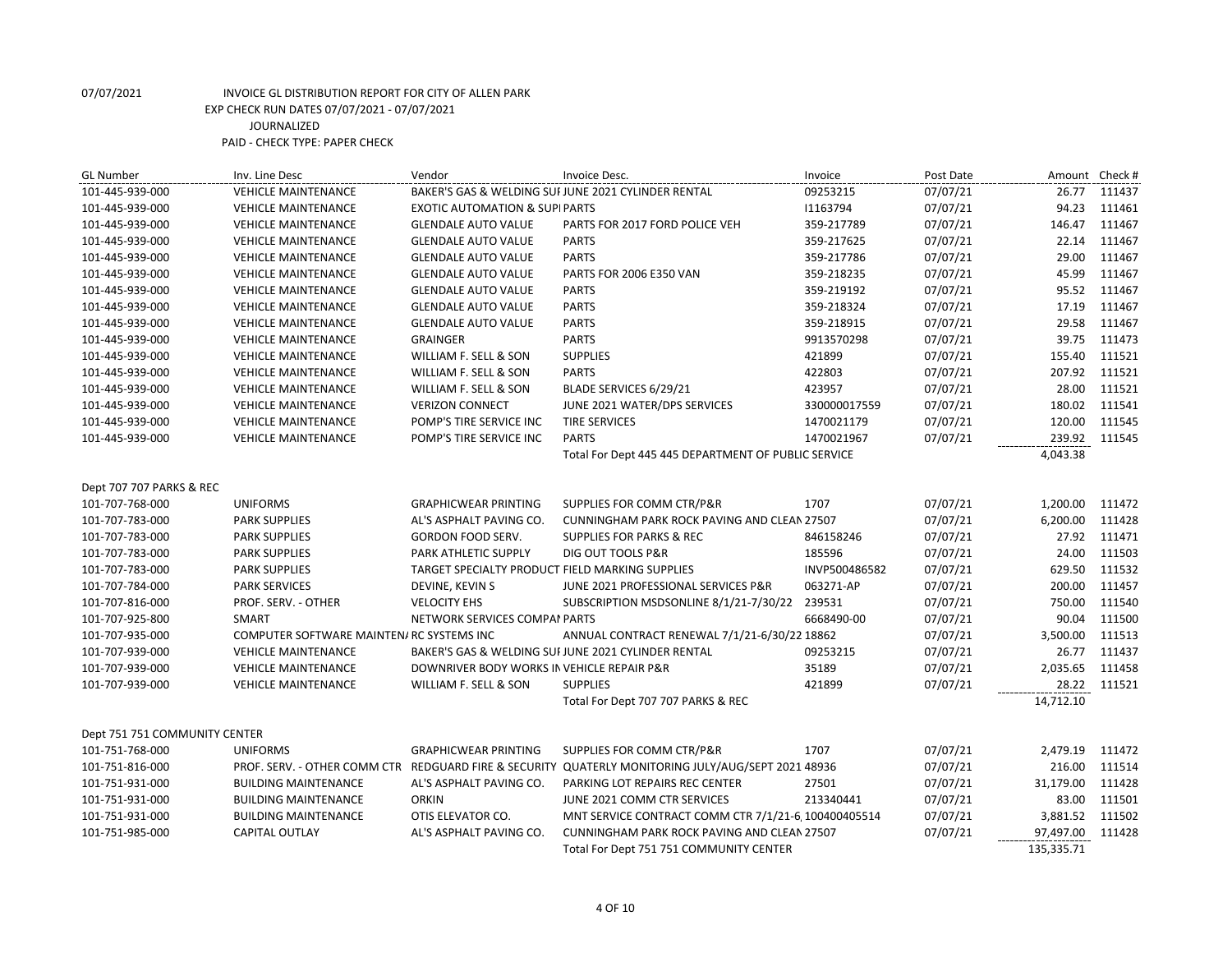| <b>GL Number</b>              | Inv. Line Desc                            | Vendor                                          | Invoice Desc.                                                                                      | Invoice       | Post Date | Amount Check # |        |
|-------------------------------|-------------------------------------------|-------------------------------------------------|----------------------------------------------------------------------------------------------------|---------------|-----------|----------------|--------|
| 101-445-939-000               | <b>VEHICLE MAINTENANCE</b>                |                                                 | BAKER'S GAS & WELDING SUI JUNE 2021 CYLINDER RENTAL                                                | 09253215      | 07/07/21  | 26.77          | 111437 |
| 101-445-939-000               | <b>VEHICLE MAINTENANCE</b>                | <b>EXOTIC AUTOMATION &amp; SUPI PARTS</b>       |                                                                                                    | 11163794      | 07/07/21  | 94.23          | 111461 |
| 101-445-939-000               | <b>VEHICLE MAINTENANCE</b>                | <b>GLENDALE AUTO VALUE</b>                      | PARTS FOR 2017 FORD POLICE VEH                                                                     | 359-217789    | 07/07/21  | 146.47         | 111467 |
| 101-445-939-000               | <b>VEHICLE MAINTENANCE</b>                | <b>GLENDALE AUTO VALUE</b>                      | <b>PARTS</b>                                                                                       | 359-217625    | 07/07/21  | 22.14          | 111467 |
| 101-445-939-000               | <b>VEHICLE MAINTENANCE</b>                | <b>GLENDALE AUTO VALUE</b>                      | <b>PARTS</b>                                                                                       | 359-217786    | 07/07/21  | 29.00          | 111467 |
| 101-445-939-000               | <b>VEHICLE MAINTENANCE</b>                | <b>GLENDALE AUTO VALUE</b>                      | PARTS FOR 2006 E350 VAN                                                                            | 359-218235    | 07/07/21  | 45.99          | 111467 |
| 101-445-939-000               | <b>VEHICLE MAINTENANCE</b>                | <b>GLENDALE AUTO VALUE</b>                      | <b>PARTS</b>                                                                                       | 359-219192    | 07/07/21  | 95.52          | 111467 |
| 101-445-939-000               | <b>VEHICLE MAINTENANCE</b>                | <b>GLENDALE AUTO VALUE</b>                      | <b>PARTS</b>                                                                                       | 359-218324    | 07/07/21  | 17.19          | 111467 |
| 101-445-939-000               | <b>VEHICLE MAINTENANCE</b>                | <b>GLENDALE AUTO VALUE</b>                      | <b>PARTS</b>                                                                                       | 359-218915    | 07/07/21  | 29.58          | 111467 |
| 101-445-939-000               | <b>VEHICLE MAINTENANCE</b>                | <b>GRAINGER</b>                                 | <b>PARTS</b>                                                                                       | 9913570298    | 07/07/21  | 39.75          | 111473 |
| 101-445-939-000               | <b>VEHICLE MAINTENANCE</b>                | WILLIAM F. SELL & SON                           | <b>SUPPLIES</b>                                                                                    | 421899        | 07/07/21  | 155.40         | 111521 |
| 101-445-939-000               | <b>VEHICLE MAINTENANCE</b>                | WILLIAM F. SELL & SON                           | <b>PARTS</b>                                                                                       | 422803        | 07/07/21  | 207.92         | 111521 |
| 101-445-939-000               | <b>VEHICLE MAINTENANCE</b>                | WILLIAM F. SELL & SON                           | BLADE SERVICES 6/29/21                                                                             | 423957        | 07/07/21  | 28.00          | 111521 |
| 101-445-939-000               | <b>VEHICLE MAINTENANCE</b>                | <b>VERIZON CONNECT</b>                          | JUNE 2021 WATER/DPS SERVICES                                                                       | 330000017559  | 07/07/21  | 180.02         | 111541 |
| 101-445-939-000               | <b>VEHICLE MAINTENANCE</b>                | POMP'S TIRE SERVICE INC                         | <b>TIRE SERVICES</b>                                                                               | 1470021179    | 07/07/21  | 120.00         | 111545 |
| 101-445-939-000               | <b>VEHICLE MAINTENANCE</b>                | POMP'S TIRE SERVICE INC                         | <b>PARTS</b>                                                                                       | 1470021967    | 07/07/21  | 239.92         | 111545 |
|                               |                                           |                                                 | Total For Dept 445 445 DEPARTMENT OF PUBLIC SERVICE                                                |               |           | 4,043.38       |        |
|                               |                                           |                                                 |                                                                                                    |               |           |                |        |
| Dept 707 707 PARKS & REC      |                                           |                                                 |                                                                                                    |               |           |                |        |
| 101-707-768-000               | <b>UNIFORMS</b>                           | <b>GRAPHICWEAR PRINTING</b>                     | SUPPLIES FOR COMM CTR/P&R                                                                          | 1707          | 07/07/21  | 1,200.00       | 111472 |
| 101-707-783-000               | <b>PARK SUPPLIES</b>                      | AL'S ASPHALT PAVING CO.                         | CUNNINGHAM PARK ROCK PAVING AND CLEAN 27507                                                        |               | 07/07/21  | 6,200.00       | 111428 |
| 101-707-783-000               | <b>PARK SUPPLIES</b>                      | GORDON FOOD SERV.                               | <b>SUPPLIES FOR PARKS &amp; REC</b>                                                                | 846158246     | 07/07/21  | 27.92          | 111471 |
| 101-707-783-000               | <b>PARK SUPPLIES</b>                      | <b>PARK ATHLETIC SUPPLY</b>                     | DIG OUT TOOLS P&R                                                                                  | 185596        | 07/07/21  | 24.00          | 111503 |
| 101-707-783-000               | <b>PARK SUPPLIES</b>                      | TARGET SPECIALTY PRODUCT FIELD MARKING SUPPLIES |                                                                                                    | INVP500486582 | 07/07/21  | 629.50         | 111532 |
| 101-707-784-000               | <b>PARK SERVICES</b>                      | DEVINE, KEVIN S                                 | JUNE 2021 PROFESSIONAL SERVICES P&R                                                                | 063271-AP     | 07/07/21  | 200.00         | 111457 |
| 101-707-816-000               | PROF. SERV. - OTHER                       | <b>VELOCITY EHS</b>                             | SUBSCRIPTION MSDSONLINE 8/1/21-7/30/22                                                             | 239531        | 07/07/21  | 750.00         | 111540 |
| 101-707-925-800               | <b>SMART</b>                              | NETWORK SERVICES COMPAI PARTS                   |                                                                                                    | 6668490-00    | 07/07/21  | 90.04          | 111500 |
| 101-707-935-000               | COMPUTER SOFTWARE MAINTEN/ RC SYSTEMS INC |                                                 | ANNUAL CONTRACT RENEWAL 7/1/21-6/30/22 18862                                                       |               | 07/07/21  | 3,500.00       | 111513 |
| 101-707-939-000               | <b>VEHICLE MAINTENANCE</b>                |                                                 | BAKER'S GAS & WELDING SUI JUNE 2021 CYLINDER RENTAL                                                | 09253215      | 07/07/21  | 26.77          | 111437 |
| 101-707-939-000               | <b>VEHICLE MAINTENANCE</b>                | DOWNRIVER BODY WORKS IN VEHICLE REPAIR P&R      |                                                                                                    | 35189         | 07/07/21  | 2,035.65       | 111458 |
| 101-707-939-000               | <b>VEHICLE MAINTENANCE</b>                | WILLIAM F. SELL & SON                           | <b>SUPPLIES</b>                                                                                    | 421899        | 07/07/21  | 28.22          | 111521 |
|                               |                                           |                                                 | Total For Dept 707 707 PARKS & REC                                                                 |               |           | 14,712.10      |        |
|                               |                                           |                                                 |                                                                                                    |               |           |                |        |
| Dept 751 751 COMMUNITY CENTER |                                           |                                                 |                                                                                                    |               |           |                |        |
| 101-751-768-000               | <b>UNIFORMS</b>                           | <b>GRAPHICWEAR PRINTING</b>                     | SUPPLIES FOR COMM CTR/P&R                                                                          | 1707          | 07/07/21  | 2,479.19       | 111472 |
| 101-751-816-000               |                                           |                                                 | PROF. SERV. - OTHER COMM CTR REDGUARD FIRE & SECURITY QUATERLY MONITORING JULY/AUG/SEPT 2021 48936 |               | 07/07/21  | 216.00         | 111514 |
| 101-751-931-000               | <b>BUILDING MAINTENANCE</b>               | AL'S ASPHALT PAVING CO.                         | PARKING LOT REPAIRS REC CENTER                                                                     | 27501         | 07/07/21  | 31,179.00      | 111428 |
| 101-751-931-000               | <b>BUILDING MAINTENANCE</b>               | <b>ORKIN</b>                                    | JUNE 2021 COMM CTR SERVICES                                                                        | 213340441     | 07/07/21  | 83.00          | 111501 |
| 101-751-931-000               | <b>BUILDING MAINTENANCE</b>               | OTIS ELEVATOR CO.                               | MNT SERVICE CONTRACT COMM CTR 7/1/21-6, 100400405514                                               |               | 07/07/21  | 3,881.52       | 111502 |
| 101-751-985-000               | <b>CAPITAL OUTLAY</b>                     | AL'S ASPHALT PAVING CO.                         | CUNNINGHAM PARK ROCK PAVING AND CLEAN 27507                                                        |               | 07/07/21  | 97,497.00      | 111428 |
|                               |                                           |                                                 | Total For Dept 751 751 COMMUNITY CENTER                                                            |               |           | 135,335.71     |        |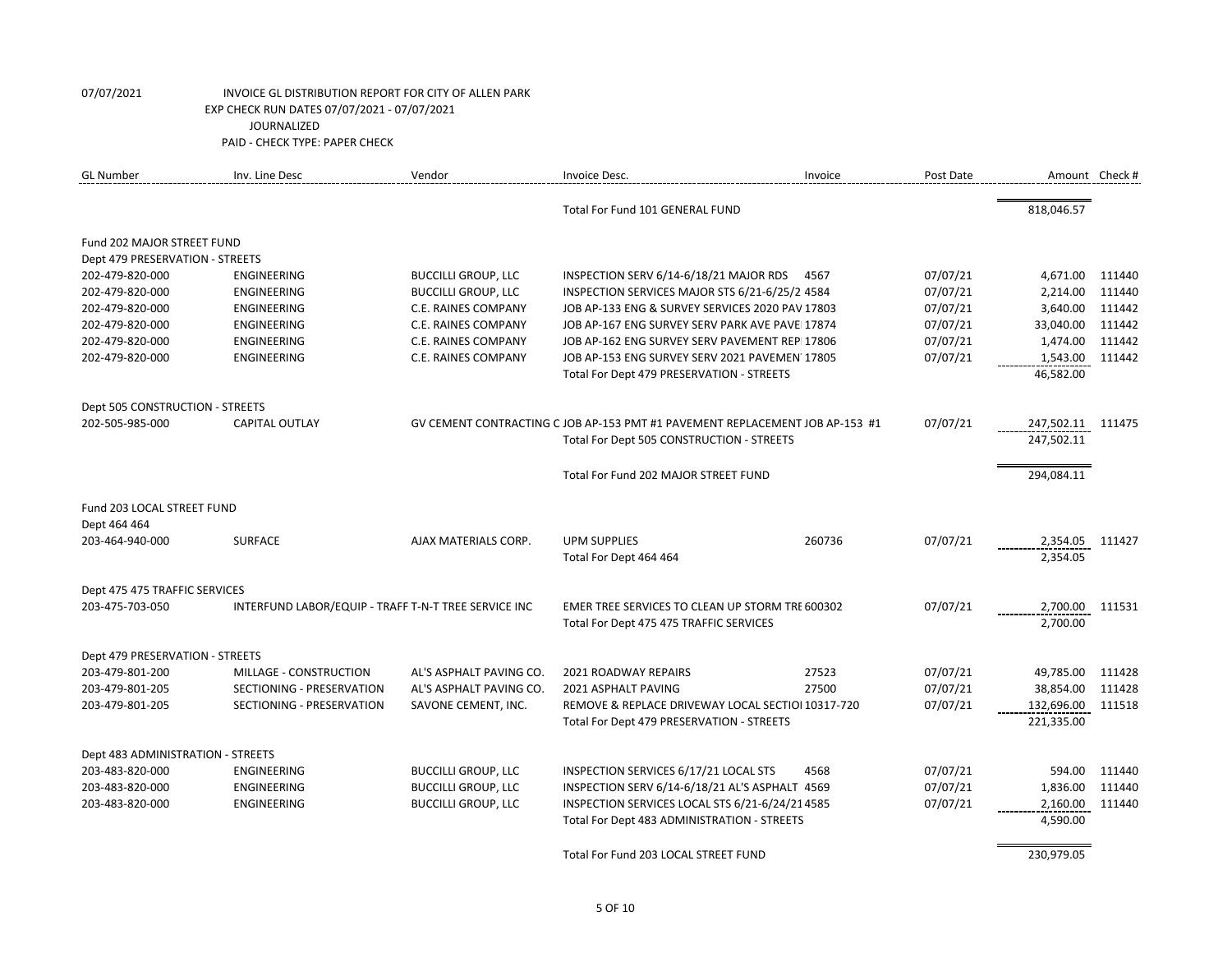| 818,046.57<br>Total For Fund 101 GENERAL FUND<br>Fund 202 MAJOR STREET FUND<br>Dept 479 PRESERVATION - STREETS<br><b>BUCCILLI GROUP, LLC</b><br>INSPECTION SERV 6/14-6/18/21 MAJOR RDS<br>07/07/21<br>202-479-820-000<br>ENGINEERING<br>4567<br>4,671.00<br>202-479-820-000<br><b>BUCCILLI GROUP, LLC</b><br>INSPECTION SERVICES MAJOR STS 6/21-6/25/2 4584<br>07/07/21<br>2,214.00<br><b>ENGINEERING</b><br>07/07/21<br>3,640.00<br>202-479-820-000<br>ENGINEERING<br>C.E. RAINES COMPANY<br>JOB AP-133 ENG & SURVEY SERVICES 2020 PAV 17803<br>C.E. RAINES COMPANY<br>07/07/21<br>33,040.00<br>202-479-820-000<br>ENGINEERING<br>JOB AP-167 ENG SURVEY SERV PARK AVE PAVEI 17874 | 111440<br>111440<br>111442<br>111442<br>111442<br>111442 |
|------------------------------------------------------------------------------------------------------------------------------------------------------------------------------------------------------------------------------------------------------------------------------------------------------------------------------------------------------------------------------------------------------------------------------------------------------------------------------------------------------------------------------------------------------------------------------------------------------------------------------------------------------------------------------------|----------------------------------------------------------|
|                                                                                                                                                                                                                                                                                                                                                                                                                                                                                                                                                                                                                                                                                    |                                                          |
|                                                                                                                                                                                                                                                                                                                                                                                                                                                                                                                                                                                                                                                                                    |                                                          |
|                                                                                                                                                                                                                                                                                                                                                                                                                                                                                                                                                                                                                                                                                    |                                                          |
|                                                                                                                                                                                                                                                                                                                                                                                                                                                                                                                                                                                                                                                                                    |                                                          |
|                                                                                                                                                                                                                                                                                                                                                                                                                                                                                                                                                                                                                                                                                    |                                                          |
|                                                                                                                                                                                                                                                                                                                                                                                                                                                                                                                                                                                                                                                                                    |                                                          |
|                                                                                                                                                                                                                                                                                                                                                                                                                                                                                                                                                                                                                                                                                    |                                                          |
| 07/07/21<br>1,474.00<br>202-479-820-000<br>ENGINEERING<br>C.E. RAINES COMPANY<br>JOB AP-162 ENG SURVEY SERV PAVEMENT REPI17806                                                                                                                                                                                                                                                                                                                                                                                                                                                                                                                                                     |                                                          |
| 07/07/21<br><b>C.E. RAINES COMPANY</b><br>JOB AP-153 ENG SURVEY SERV 2021 PAVEMEN 17805<br>1,543.00<br>202-479-820-000<br><b>ENGINEERING</b>                                                                                                                                                                                                                                                                                                                                                                                                                                                                                                                                       |                                                          |
| 46,582.00<br>Total For Dept 479 PRESERVATION - STREETS                                                                                                                                                                                                                                                                                                                                                                                                                                                                                                                                                                                                                             |                                                          |
| Dept 505 CONSTRUCTION - STREETS                                                                                                                                                                                                                                                                                                                                                                                                                                                                                                                                                                                                                                                    |                                                          |
| <b>CAPITAL OUTLAY</b><br>07/07/21<br>202-505-985-000<br>GV CEMENT CONTRACTING C JOB AP-153 PMT #1 PAVEMENT REPLACEMENT JOB AP-153 #1<br>247,502.11 111475                                                                                                                                                                                                                                                                                                                                                                                                                                                                                                                          |                                                          |
| Total For Dept 505 CONSTRUCTION - STREETS<br>247,502.11                                                                                                                                                                                                                                                                                                                                                                                                                                                                                                                                                                                                                            |                                                          |
| Total For Fund 202 MAJOR STREET FUND<br>294,084.11                                                                                                                                                                                                                                                                                                                                                                                                                                                                                                                                                                                                                                 |                                                          |
| Fund 203 LOCAL STREET FUND                                                                                                                                                                                                                                                                                                                                                                                                                                                                                                                                                                                                                                                         |                                                          |
| Dept 464 464                                                                                                                                                                                                                                                                                                                                                                                                                                                                                                                                                                                                                                                                       |                                                          |
| 07/07/21<br><b>SURFACE</b><br>AJAX MATERIALS CORP.<br><b>UPM SUPPLIES</b><br>260736<br>2,354.05<br>203-464-940-000                                                                                                                                                                                                                                                                                                                                                                                                                                                                                                                                                                 | 111427                                                   |
| 2,354.05<br>Total For Dept 464 464                                                                                                                                                                                                                                                                                                                                                                                                                                                                                                                                                                                                                                                 |                                                          |
|                                                                                                                                                                                                                                                                                                                                                                                                                                                                                                                                                                                                                                                                                    |                                                          |
| Dept 475 475 TRAFFIC SERVICES<br>INTERFUND LABOR/EQUIP - TRAFF T-N-T TREE SERVICE INC<br>07/07/21<br>2,700.00<br>203-475-703-050<br>EMER TREE SERVICES TO CLEAN UP STORM TRE 600302                                                                                                                                                                                                                                                                                                                                                                                                                                                                                                | 111531                                                   |
| 2,700.00<br>Total For Dept 475 475 TRAFFIC SERVICES                                                                                                                                                                                                                                                                                                                                                                                                                                                                                                                                                                                                                                |                                                          |
|                                                                                                                                                                                                                                                                                                                                                                                                                                                                                                                                                                                                                                                                                    |                                                          |
| Dept 479 PRESERVATION - STREETS                                                                                                                                                                                                                                                                                                                                                                                                                                                                                                                                                                                                                                                    |                                                          |
| 07/07/21<br>49,785.00<br>203-479-801-200<br>MILLAGE - CONSTRUCTION<br>AL'S ASPHALT PAVING CO.<br>2021 ROADWAY REPAIRS<br>27523                                                                                                                                                                                                                                                                                                                                                                                                                                                                                                                                                     | 111428                                                   |
| 27500<br>07/07/21<br>38,854.00<br>203-479-801-205<br>SECTIONING - PRESERVATION<br>AL'S ASPHALT PAVING CO.<br>2021 ASPHALT PAVING                                                                                                                                                                                                                                                                                                                                                                                                                                                                                                                                                   | 111428                                                   |
| 07/07/21<br>132,696.00<br>203-479-801-205<br>SECTIONING - PRESERVATION<br>SAVONE CEMENT, INC.<br>REMOVE & REPLACE DRIVEWAY LOCAL SECTIOI 10317-720                                                                                                                                                                                                                                                                                                                                                                                                                                                                                                                                 | 111518                                                   |
| 221,335.00<br>Total For Dept 479 PRESERVATION - STREETS                                                                                                                                                                                                                                                                                                                                                                                                                                                                                                                                                                                                                            |                                                          |
| Dept 483 ADMINISTRATION - STREETS                                                                                                                                                                                                                                                                                                                                                                                                                                                                                                                                                                                                                                                  |                                                          |
| <b>BUCCILLI GROUP, LLC</b><br>07/07/21<br>594.00<br>203-483-820-000<br><b>ENGINEERING</b><br>INSPECTION SERVICES 6/17/21 LOCAL STS<br>4568                                                                                                                                                                                                                                                                                                                                                                                                                                                                                                                                         | 111440                                                   |
| <b>BUCCILLI GROUP, LLC</b><br>07/07/21<br>1,836.00<br>203-483-820-000<br><b>ENGINEERING</b><br>INSPECTION SERV 6/14-6/18/21 AL'S ASPHALT 14569                                                                                                                                                                                                                                                                                                                                                                                                                                                                                                                                     | 111440                                                   |
| INSPECTION SERVICES LOCAL STS 6/21-6/24/214585<br>07/07/21<br>203-483-820-000<br>ENGINEERING<br><b>BUCCILLI GROUP, LLC</b><br>2,160.00                                                                                                                                                                                                                                                                                                                                                                                                                                                                                                                                             | 111440                                                   |
| 4,590.00<br>Total For Dept 483 ADMINISTRATION - STREETS                                                                                                                                                                                                                                                                                                                                                                                                                                                                                                                                                                                                                            |                                                          |
| Total For Fund 203 LOCAL STREET FUND<br>230,979.05                                                                                                                                                                                                                                                                                                                                                                                                                                                                                                                                                                                                                                 |                                                          |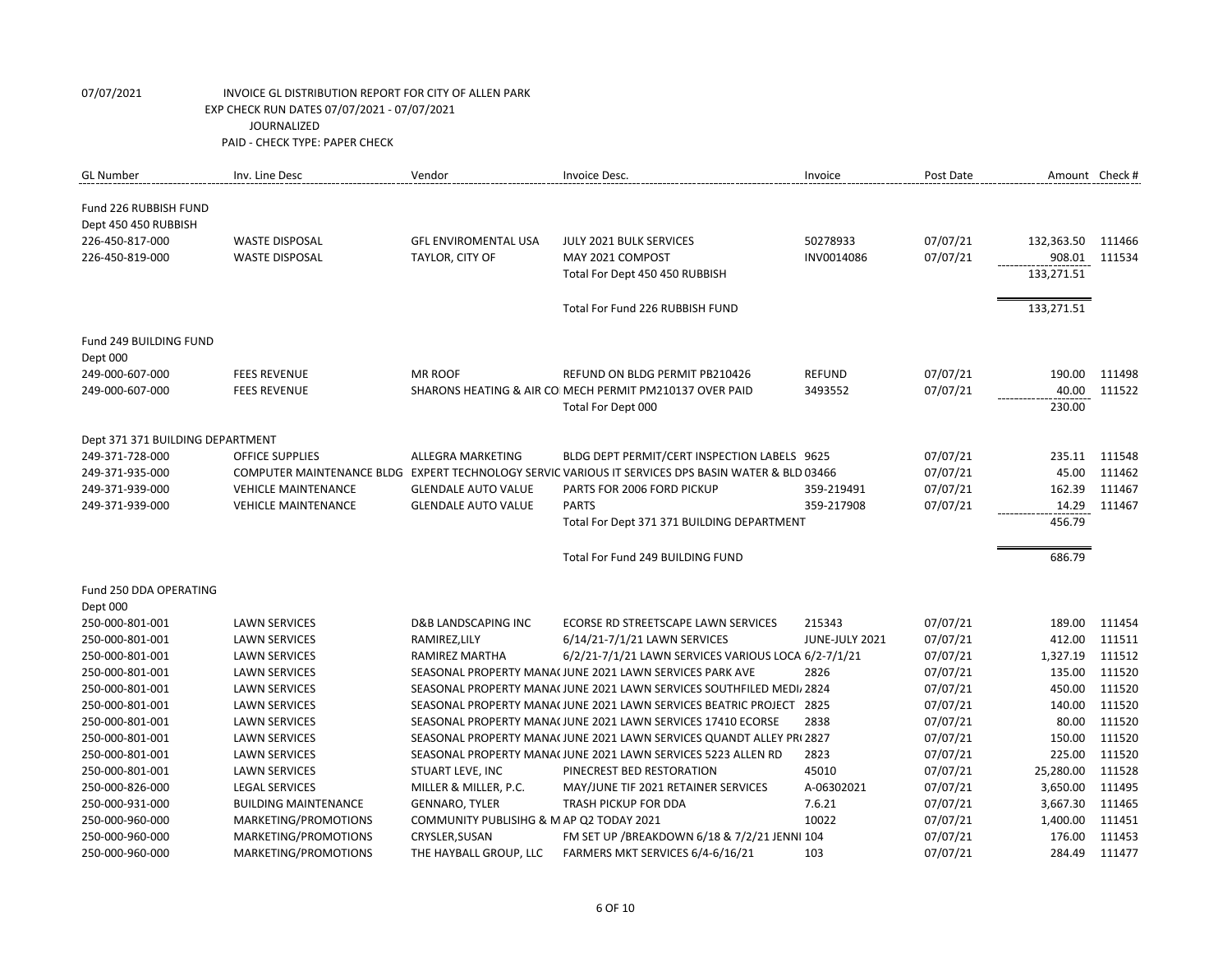| <b>GL Number</b>                 | Inv. Line Desc              | Vendor                                   | Invoice Desc.                                                                                      | Invoice        | Post Date | Amount Check # |        |
|----------------------------------|-----------------------------|------------------------------------------|----------------------------------------------------------------------------------------------------|----------------|-----------|----------------|--------|
| Fund 226 RUBBISH FUND            |                             |                                          |                                                                                                    |                |           |                |        |
| Dept 450 450 RUBBISH             |                             |                                          |                                                                                                    |                |           |                |        |
| 226-450-817-000                  | <b>WASTE DISPOSAL</b>       | <b>GFL ENVIROMENTAL USA</b>              | JULY 2021 BULK SERVICES                                                                            | 50278933       | 07/07/21  | 132,363.50     | 111466 |
| 226-450-819-000                  | <b>WASTE DISPOSAL</b>       | TAYLOR, CITY OF                          | MAY 2021 COMPOST                                                                                   | INV0014086     | 07/07/21  | 908.01         | 111534 |
|                                  |                             |                                          | Total For Dept 450 450 RUBBISH                                                                     |                |           | 133,271.51     |        |
|                                  |                             |                                          |                                                                                                    |                |           |                |        |
|                                  |                             |                                          | Total For Fund 226 RUBBISH FUND                                                                    |                |           | 133,271.51     |        |
| Fund 249 BUILDING FUND           |                             |                                          |                                                                                                    |                |           |                |        |
| Dept 000                         |                             |                                          |                                                                                                    |                |           |                |        |
| 249-000-607-000                  | <b>FEES REVENUE</b>         | <b>MR ROOF</b>                           | REFUND ON BLDG PERMIT PB210426                                                                     | <b>REFUND</b>  | 07/07/21  | 190.00         | 111498 |
| 249-000-607-000                  | <b>FEES REVENUE</b>         |                                          | SHARONS HEATING & AIR CO MECH PERMIT PM210137 OVER PAID                                            | 3493552        | 07/07/21  | 40.00          | 111522 |
|                                  |                             |                                          | Total For Dept 000                                                                                 |                |           | 230.00         |        |
|                                  |                             |                                          |                                                                                                    |                |           |                |        |
| Dept 371 371 BUILDING DEPARTMENT |                             |                                          |                                                                                                    |                |           |                |        |
| 249-371-728-000                  | <b>OFFICE SUPPLIES</b>      | ALLEGRA MARKETING                        | BLDG DEPT PERMIT/CERT INSPECTION LABELS 9625                                                       |                | 07/07/21  | 235.11         | 111548 |
| 249-371-935-000                  |                             |                                          | COMPUTER MAINTENANCE BLDG EXPERT TECHNOLOGY SERVIC VARIOUS IT SERVICES DPS BASIN WATER & BLD 03466 |                | 07/07/21  | 45.00          | 111462 |
| 249-371-939-000                  | <b>VEHICLE MAINTENANCE</b>  | <b>GLENDALE AUTO VALUE</b>               | PARTS FOR 2006 FORD PICKUP                                                                         | 359-219491     | 07/07/21  | 162.39         | 111467 |
| 249-371-939-000                  | <b>VEHICLE MAINTENANCE</b>  | <b>GLENDALE AUTO VALUE</b>               | <b>PARTS</b>                                                                                       | 359-217908     | 07/07/21  | 14.29          | 111467 |
|                                  |                             |                                          | Total For Dept 371 371 BUILDING DEPARTMENT                                                         |                |           | 456.79         |        |
|                                  |                             |                                          |                                                                                                    |                |           |                |        |
|                                  |                             |                                          | Total For Fund 249 BUILDING FUND                                                                   |                |           | 686.79         |        |
| Fund 250 DDA OPERATING           |                             |                                          |                                                                                                    |                |           |                |        |
| Dept 000                         |                             |                                          |                                                                                                    |                |           |                |        |
| 250-000-801-001                  | <b>LAWN SERVICES</b>        | <b>D&amp;B LANDSCAPING INC</b>           | ECORSE RD STREETSCAPE LAWN SERVICES                                                                | 215343         | 07/07/21  | 189.00         | 111454 |
| 250-000-801-001                  | <b>LAWN SERVICES</b>        | RAMIREZ, LILY                            | 6/14/21-7/1/21 LAWN SERVICES                                                                       | JUNE-JULY 2021 | 07/07/21  | 412.00         | 111511 |
| 250-000-801-001                  | <b>LAWN SERVICES</b>        | RAMIREZ MARTHA                           | 6/2/21-7/1/21 LAWN SERVICES VARIOUS LOCA 6/2-7/1/21                                                |                | 07/07/21  | 1,327.19       | 111512 |
| 250-000-801-001                  | <b>LAWN SERVICES</b>        |                                          | SEASONAL PROPERTY MANA(JUNE 2021 LAWN SERVICES PARK AVE                                            | 2826           | 07/07/21  | 135.00         | 111520 |
| 250-000-801-001                  | <b>LAWN SERVICES</b>        |                                          | SEASONAL PROPERTY MANA(JUNE 2021 LAWN SERVICES SOUTHFILED MEDI/ 2824                               |                | 07/07/21  | 450.00         | 111520 |
| 250-000-801-001                  | <b>LAWN SERVICES</b>        |                                          | SEASONAL PROPERTY MANA(JUNE 2021 LAWN SERVICES BEATRIC PROJECT 2825                                |                | 07/07/21  | 140.00         | 111520 |
| 250-000-801-001                  | <b>LAWN SERVICES</b>        |                                          | SEASONAL PROPERTY MANA(JUNE 2021 LAWN SERVICES 17410 ECORSE                                        | 2838           | 07/07/21  | 80.00          | 111520 |
| 250-000-801-001                  | <b>LAWN SERVICES</b>        |                                          | SEASONAL PROPERTY MANA( JUNE 2021 LAWN SERVICES QUANDT ALLEY PR(2827                               |                | 07/07/21  | 150.00         | 111520 |
| 250-000-801-001                  | <b>LAWN SERVICES</b>        |                                          | SEASONAL PROPERTY MANA(JUNE 2021 LAWN SERVICES 5223 ALLEN RD                                       | 2823           | 07/07/21  | 225.00         | 111520 |
| 250-000-801-001                  | <b>LAWN SERVICES</b>        | STUART LEVE, INC                         | PINECREST BED RESTORATION                                                                          | 45010          | 07/07/21  | 25,280.00      | 111528 |
| 250-000-826-000                  | <b>LEGAL SERVICES</b>       | MILLER & MILLER, P.C.                    | MAY/JUNE TIF 2021 RETAINER SERVICES                                                                | A-06302021     | 07/07/21  | 3,650.00       | 111495 |
| 250-000-931-000                  | <b>BUILDING MAINTENANCE</b> | <b>GENNARO, TYLER</b>                    | TRASH PICKUP FOR DDA                                                                               | 7.6.21         | 07/07/21  | 3,667.30       | 111465 |
| 250-000-960-000                  | MARKETING/PROMOTIONS        | COMMUNITY PUBLISIHG & M AP Q2 TODAY 2021 |                                                                                                    | 10022          | 07/07/21  | 1,400.00       | 111451 |
| 250-000-960-000                  | MARKETING/PROMOTIONS        | CRYSLER, SUSAN                           | FM SET UP / BREAKDOWN 6/18 & 7/2/21 JENNI 104                                                      |                | 07/07/21  | 176.00         | 111453 |
| 250-000-960-000                  | MARKETING/PROMOTIONS        | THE HAYBALL GROUP, LLC                   | FARMERS MKT SERVICES 6/4-6/16/21                                                                   | 103            | 07/07/21  | 284.49         | 111477 |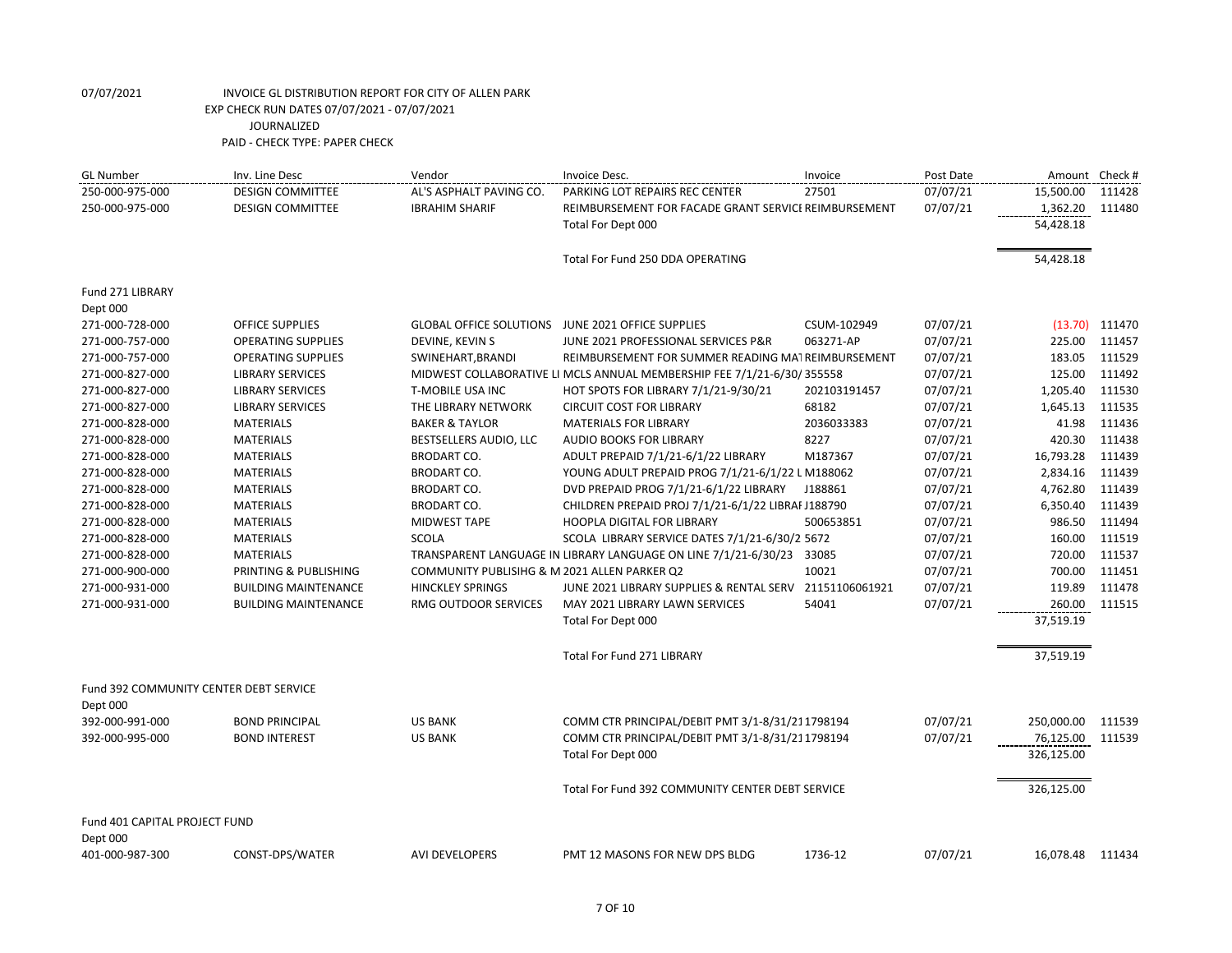| <b>GL Number</b>                              | Inv. Line Desc              | Vendor                                       | Invoice Desc.                                                          | Invoice      | Post Date |                  | Amount Check # |
|-----------------------------------------------|-----------------------------|----------------------------------------------|------------------------------------------------------------------------|--------------|-----------|------------------|----------------|
| 250-000-975-000                               | <b>DESIGN COMMITTEE</b>     | AL'S ASPHALT PAVING CO.                      | PARKING LOT REPAIRS REC CENTER                                         | 27501        | 07/07/21  | 15,500.00        | 111428         |
| 250-000-975-000                               | <b>DESIGN COMMITTEE</b>     | <b>IBRAHIM SHARIF</b>                        | REIMBURSEMENT FOR FACADE GRANT SERVICE REIMBURSEMENT                   |              | 07/07/21  | 1,362.20         | 111480         |
|                                               |                             |                                              | Total For Dept 000                                                     |              |           | 54,428.18        |                |
|                                               |                             |                                              | Total For Fund 250 DDA OPERATING                                       |              |           | 54,428.18        |                |
| Fund 271 LIBRARY                              |                             |                                              |                                                                        |              |           |                  |                |
| Dept 000                                      |                             |                                              |                                                                        |              |           |                  |                |
| 271-000-728-000                               | <b>OFFICE SUPPLIES</b>      | <b>GLOBAL OFFICE SOLUTIONS</b>               | JUNE 2021 OFFICE SUPPLIES                                              | CSUM-102949  | 07/07/21  | (13.70)          | 111470         |
| 271-000-757-000                               | <b>OPERATING SUPPLIES</b>   | DEVINE, KEVIN S                              | JUNE 2021 PROFESSIONAL SERVICES P&R                                    | 063271-AP    | 07/07/21  | 225.00           | 111457         |
| 271-000-757-000                               | <b>OPERATING SUPPLIES</b>   | SWINEHART, BRANDI                            | REIMBURSEMENT FOR SUMMER READING MATREIMBURSEMENT                      |              | 07/07/21  | 183.05           | 111529         |
| 271-000-827-000                               | <b>LIBRARY SERVICES</b>     |                                              | MIDWEST COLLABORATIVE LI MCLS ANNUAL MEMBERSHIP FEE 7/1/21-6/30/355558 |              | 07/07/21  | 125.00           | 111492         |
| 271-000-827-000                               | <b>LIBRARY SERVICES</b>     | T-MOBILE USA INC                             | HOT SPOTS FOR LIBRARY 7/1/21-9/30/21                                   | 202103191457 | 07/07/21  | 1,205.40         | 111530         |
| 271-000-827-000                               | <b>LIBRARY SERVICES</b>     | THE LIBRARY NETWORK                          | <b>CIRCUIT COST FOR LIBRARY</b>                                        | 68182        | 07/07/21  | 1,645.13         | 111535         |
| 271-000-828-000                               | <b>MATERIALS</b>            | <b>BAKER &amp; TAYLOR</b>                    | <b>MATERIALS FOR LIBRARY</b>                                           | 2036033383   | 07/07/21  | 41.98            | 111436         |
| 271-000-828-000                               | <b>MATERIALS</b>            | BESTSELLERS AUDIO, LLC                       | <b>AUDIO BOOKS FOR LIBRARY</b>                                         | 8227         | 07/07/21  | 420.30           | 111438         |
| 271-000-828-000                               | <b>MATERIALS</b>            | <b>BRODART CO.</b>                           | ADULT PREPAID 7/1/21-6/1/22 LIBRARY                                    | M187367      | 07/07/21  | 16,793.28        | 111439         |
| 271-000-828-000                               | <b>MATERIALS</b>            | <b>BRODART CO.</b>                           | YOUNG ADULT PREPAID PROG 7/1/21-6/1/22 L M188062                       |              | 07/07/21  | 2,834.16         | 111439         |
| 271-000-828-000                               | <b>MATERIALS</b>            | <b>BRODART CO.</b>                           | DVD PREPAID PROG 7/1/21-6/1/22 LIBRARY                                 | J188861      | 07/07/21  | 4,762.80         | 111439         |
| 271-000-828-000                               | <b>MATERIALS</b>            | BRODART CO.                                  | CHILDREN PREPAID PROJ 7/1/21-6/1/22 LIBRAF J188790                     |              | 07/07/21  | 6,350.40         | 111439         |
| 271-000-828-000                               | <b>MATERIALS</b>            | <b>MIDWEST TAPE</b>                          | <b>HOOPLA DIGITAL FOR LIBRARY</b>                                      | 500653851    | 07/07/21  | 986.50           | 111494         |
| 271-000-828-000                               | <b>MATERIALS</b>            | <b>SCOLA</b>                                 | SCOLA LIBRARY SERVICE DATES 7/1/21-6/30/2 5672                         |              | 07/07/21  | 160.00           | 111519         |
| 271-000-828-000                               | <b>MATERIALS</b>            |                                              | TRANSPARENT LANGUAGE IN LIBRARY LANGUAGE ON LINE 7/1/21-6/30/23 33085  |              | 07/07/21  | 720.00           | 111537         |
| 271-000-900-000                               | PRINTING & PUBLISHING       | COMMUNITY PUBLISIHG & M 2021 ALLEN PARKER Q2 |                                                                        | 10021        | 07/07/21  | 700.00           | 111451         |
| 271-000-931-000                               | <b>BUILDING MAINTENANCE</b> | <b>HINCKLEY SPRINGS</b>                      | JUNE 2021 LIBRARY SUPPLIES & RENTAL SERV 21151106061921                |              | 07/07/21  | 119.89           | 111478         |
| 271-000-931-000                               | <b>BUILDING MAINTENANCE</b> | RMG OUTDOOR SERVICES                         | MAY 2021 LIBRARY LAWN SERVICES                                         | 54041        | 07/07/21  | 260.00           | 111515         |
|                                               |                             |                                              | Total For Dept 000                                                     |              |           | 37,519.19        |                |
|                                               |                             |                                              | <b>Total For Fund 271 LIBRARY</b>                                      |              |           | 37,519.19        |                |
| <b>Fund 392 COMMUNITY CENTER DEBT SERVICE</b> |                             |                                              |                                                                        |              |           |                  |                |
| Dept 000                                      |                             |                                              |                                                                        |              |           |                  |                |
| 392-000-991-000                               | <b>BOND PRINCIPAL</b>       | <b>US BANK</b>                               | COMM CTR PRINCIPAL/DEBIT PMT 3/1-8/31/211798194                        |              | 07/07/21  | 250,000.00       | 111539         |
| 392-000-995-000                               | <b>BOND INTEREST</b>        | <b>US BANK</b>                               | COMM CTR PRINCIPAL/DEBIT PMT 3/1-8/31/211798194                        |              | 07/07/21  | 76,125.00        | 111539         |
|                                               |                             |                                              | Total For Dept 000                                                     |              |           | 326,125.00       |                |
|                                               |                             |                                              | Total For Fund 392 COMMUNITY CENTER DEBT SERVICE                       |              |           | 326,125.00       |                |
| Fund 401 CAPITAL PROJECT FUND                 |                             |                                              |                                                                        |              |           |                  |                |
| Dept 000                                      |                             |                                              |                                                                        |              |           |                  |                |
| 401-000-987-300                               | CONST-DPS/WATER             | <b>AVI DEVELOPERS</b>                        | PMT 12 MASONS FOR NEW DPS BLDG                                         | 1736-12      | 07/07/21  | 16,078.48 111434 |                |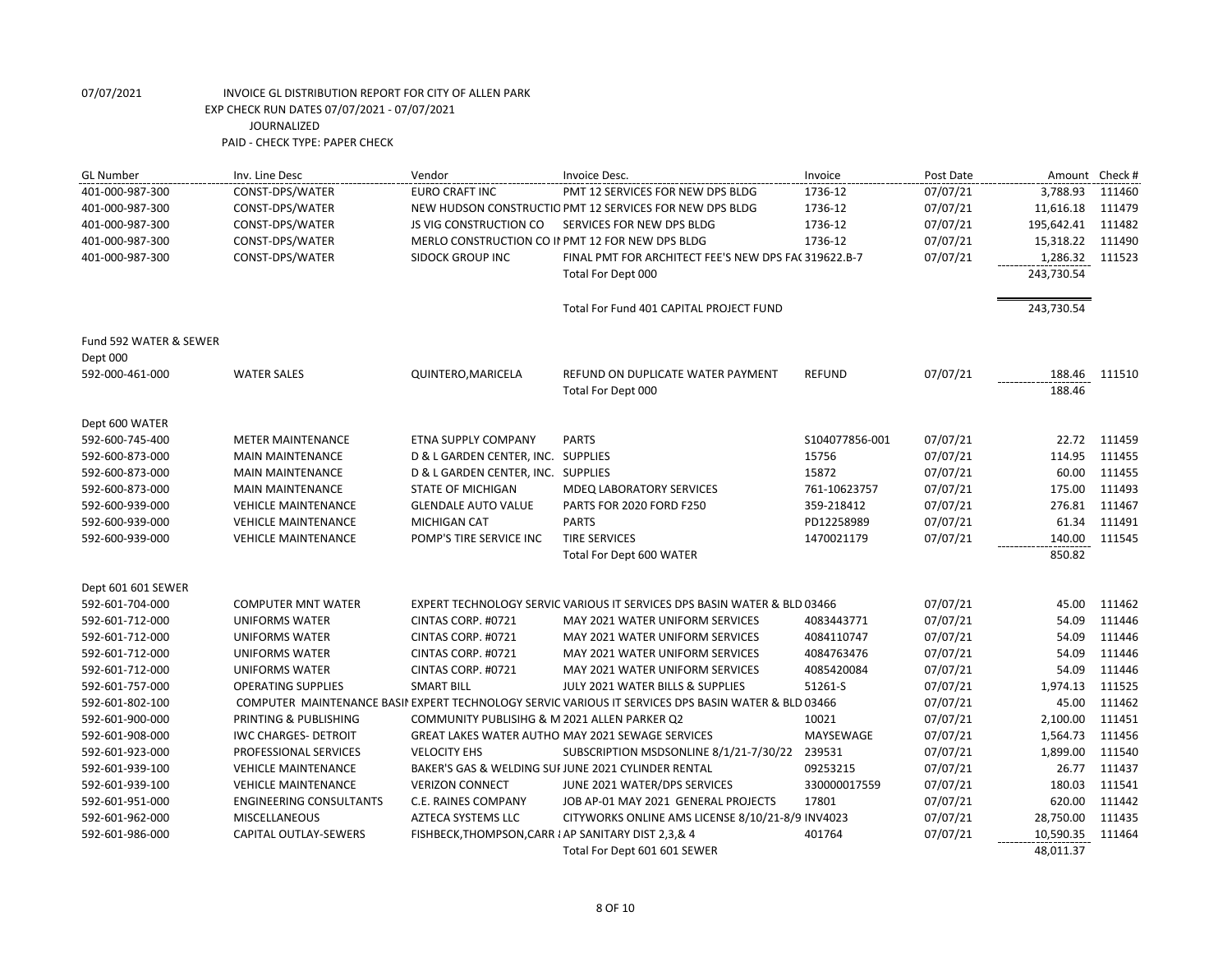| <b>GL Number</b>       | Inv. Line Desc                 | Vendor                                               | Invoice Desc.                                                                                       | Invoice        | Post Date | Amount Check #   |        |
|------------------------|--------------------------------|------------------------------------------------------|-----------------------------------------------------------------------------------------------------|----------------|-----------|------------------|--------|
| 401-000-987-300        | CONST-DPS/WATER                | EURO CRAFT INC                                       | PMT 12 SERVICES FOR NEW DPS BLDG                                                                    | 1736-12        | 07/07/21  | 3,788.93         | 111460 |
| 401-000-987-300        | CONST-DPS/WATER                |                                                      | NEW HUDSON CONSTRUCTIO PMT 12 SERVICES FOR NEW DPS BLDG                                             | 1736-12        | 07/07/21  | 11,616.18        | 111479 |
| 401-000-987-300        | CONST-DPS/WATER                | <b>JS VIG CONSTRUCTION CO</b>                        | SERVICES FOR NEW DPS BLDG                                                                           | 1736-12        | 07/07/21  | 195,642.41       | 111482 |
| 401-000-987-300        | CONST-DPS/WATER                |                                                      | MERLO CONSTRUCTION CO II PMT 12 FOR NEW DPS BLDG                                                    | 1736-12        | 07/07/21  | 15,318.22        | 111490 |
| 401-000-987-300        | CONST-DPS/WATER                | <b>SIDOCK GROUP INC</b>                              | FINAL PMT FOR ARCHITECT FEE'S NEW DPS FAC 319622.B-7                                                |                | 07/07/21  | 1,286.32         | 111523 |
|                        |                                |                                                      | Total For Dept 000                                                                                  |                |           | 243,730.54       |        |
|                        |                                |                                                      | Total For Fund 401 CAPITAL PROJECT FUND                                                             |                |           | 243,730.54       |        |
| Fund 592 WATER & SEWER |                                |                                                      |                                                                                                     |                |           |                  |        |
| Dept 000               |                                |                                                      |                                                                                                     |                |           |                  |        |
| 592-000-461-000        | <b>WATER SALES</b>             | QUINTERO, MARICELA                                   | REFUND ON DUPLICATE WATER PAYMENT<br>Total For Dept 000                                             | <b>REFUND</b>  | 07/07/21  | 188.46<br>188.46 | 111510 |
| Dept 600 WATER         |                                |                                                      |                                                                                                     |                |           |                  |        |
| 592-600-745-400        | <b>METER MAINTENANCE</b>       | ETNA SUPPLY COMPANY                                  | <b>PARTS</b>                                                                                        | S104077856-001 | 07/07/21  | 22.72            | 111459 |
| 592-600-873-000        | <b>MAIN MAINTENANCE</b>        | D & L GARDEN CENTER, INC. SUPPLIES                   |                                                                                                     | 15756          | 07/07/21  | 114.95           | 111455 |
| 592-600-873-000        | <b>MAIN MAINTENANCE</b>        | D & L GARDEN CENTER, INC. SUPPLIES                   |                                                                                                     | 15872          | 07/07/21  | 60.00            | 111455 |
| 592-600-873-000        | <b>MAIN MAINTENANCE</b>        | <b>STATE OF MICHIGAN</b>                             | <b>MDEQ LABORATORY SERVICES</b>                                                                     | 761-10623757   | 07/07/21  | 175.00           | 111493 |
| 592-600-939-000        | <b>VEHICLE MAINTENANCE</b>     | <b>GLENDALE AUTO VALUE</b>                           | PARTS FOR 2020 FORD F250                                                                            | 359-218412     | 07/07/21  | 276.81           | 111467 |
| 592-600-939-000        | <b>VEHICLE MAINTENANCE</b>     | <b>MICHIGAN CAT</b>                                  | <b>PARTS</b>                                                                                        | PD12258989     | 07/07/21  | 61.34            | 111491 |
| 592-600-939-000        | <b>VEHICLE MAINTENANCE</b>     | POMP'S TIRE SERVICE INC                              | <b>TIRE SERVICES</b>                                                                                | 1470021179     | 07/07/21  | 140.00           | 111545 |
|                        |                                |                                                      | Total For Dept 600 WATER                                                                            |                |           | 850.82           |        |
| Dept 601 601 SEWER     |                                |                                                      |                                                                                                     |                |           |                  |        |
| 592-601-704-000        | <b>COMPUTER MNT WATER</b>      |                                                      | EXPERT TECHNOLOGY SERVIC VARIOUS IT SERVICES DPS BASIN WATER & BLD 03466                            |                | 07/07/21  | 45.00            | 111462 |
| 592-601-712-000        | <b>UNIFORMS WATER</b>          | CINTAS CORP. #0721                                   | MAY 2021 WATER UNIFORM SERVICES                                                                     | 4083443771     | 07/07/21  | 54.09            | 111446 |
| 592-601-712-000        | <b>UNIFORMS WATER</b>          | CINTAS CORP. #0721                                   | MAY 2021 WATER UNIFORM SERVICES                                                                     | 4084110747     | 07/07/21  | 54.09            | 111446 |
| 592-601-712-000        | <b>UNIFORMS WATER</b>          | CINTAS CORP. #0721                                   | MAY 2021 WATER UNIFORM SERVICES                                                                     | 4084763476     | 07/07/21  | 54.09            | 111446 |
| 592-601-712-000        | <b>UNIFORMS WATER</b>          | CINTAS CORP. #0721                                   | MAY 2021 WATER UNIFORM SERVICES                                                                     | 4085420084     | 07/07/21  | 54.09            | 111446 |
| 592-601-757-000        | <b>OPERATING SUPPLIES</b>      | <b>SMART BILL</b>                                    | JULY 2021 WATER BILLS & SUPPLIES                                                                    | 51261-S        | 07/07/21  | 1,974.13         | 111525 |
| 592-601-802-100        |                                |                                                      | COMPUTER MAINTENANCE BASII EXPERT TECHNOLOGY SERVIC VARIOUS IT SERVICES DPS BASIN WATER & BLD 03466 |                | 07/07/21  | 45.00            | 111462 |
| 592-601-900-000        | PRINTING & PUBLISHING          | COMMUNITY PUBLISIHG & M 2021 ALLEN PARKER Q2         |                                                                                                     | 10021          | 07/07/21  | 2,100.00         | 111451 |
| 592-601-908-000        | <b>IWC CHARGES- DETROIT</b>    |                                                      | <b>GREAT LAKES WATER AUTHO MAY 2021 SEWAGE SERVICES</b>                                             | MAYSEWAGE      | 07/07/21  | 1,564.73         | 111456 |
| 592-601-923-000        | PROFESSIONAL SERVICES          | <b>VELOCITY EHS</b>                                  | SUBSCRIPTION MSDSONLINE 8/1/21-7/30/22                                                              | 239531         | 07/07/21  | 1,899.00         | 111540 |
| 592-601-939-100        | <b>VEHICLE MAINTENANCE</b>     |                                                      | BAKER'S GAS & WELDING SUI JUNE 2021 CYLINDER RENTAL                                                 | 09253215       | 07/07/21  | 26.77            | 111437 |
| 592-601-939-100        | <b>VEHICLE MAINTENANCE</b>     | <b>VERIZON CONNECT</b>                               | JUNE 2021 WATER/DPS SERVICES                                                                        | 330000017559   | 07/07/21  | 180.03           | 111541 |
| 592-601-951-000        | <b>ENGINEERING CONSULTANTS</b> | C.E. RAINES COMPANY                                  | JOB AP-01 MAY 2021 GENERAL PROJECTS                                                                 | 17801          | 07/07/21  | 620.00           | 111442 |
| 592-601-962-000        | MISCELLANEOUS                  | <b>AZTECA SYSTEMS LLC</b>                            | CITYWORKS ONLINE AMS LICENSE 8/10/21-8/9 INV4023                                                    |                | 07/07/21  | 28,750.00        | 111435 |
| 592-601-986-000        | CAPITAL OUTLAY-SEWERS          | FISHBECK, THOMPSON, CARR I AP SANITARY DIST 2,3, & 4 |                                                                                                     | 401764         | 07/07/21  | 10,590.35        | 111464 |
|                        |                                |                                                      | Total For Dept 601 601 SEWER                                                                        |                |           | 48,011.37        |        |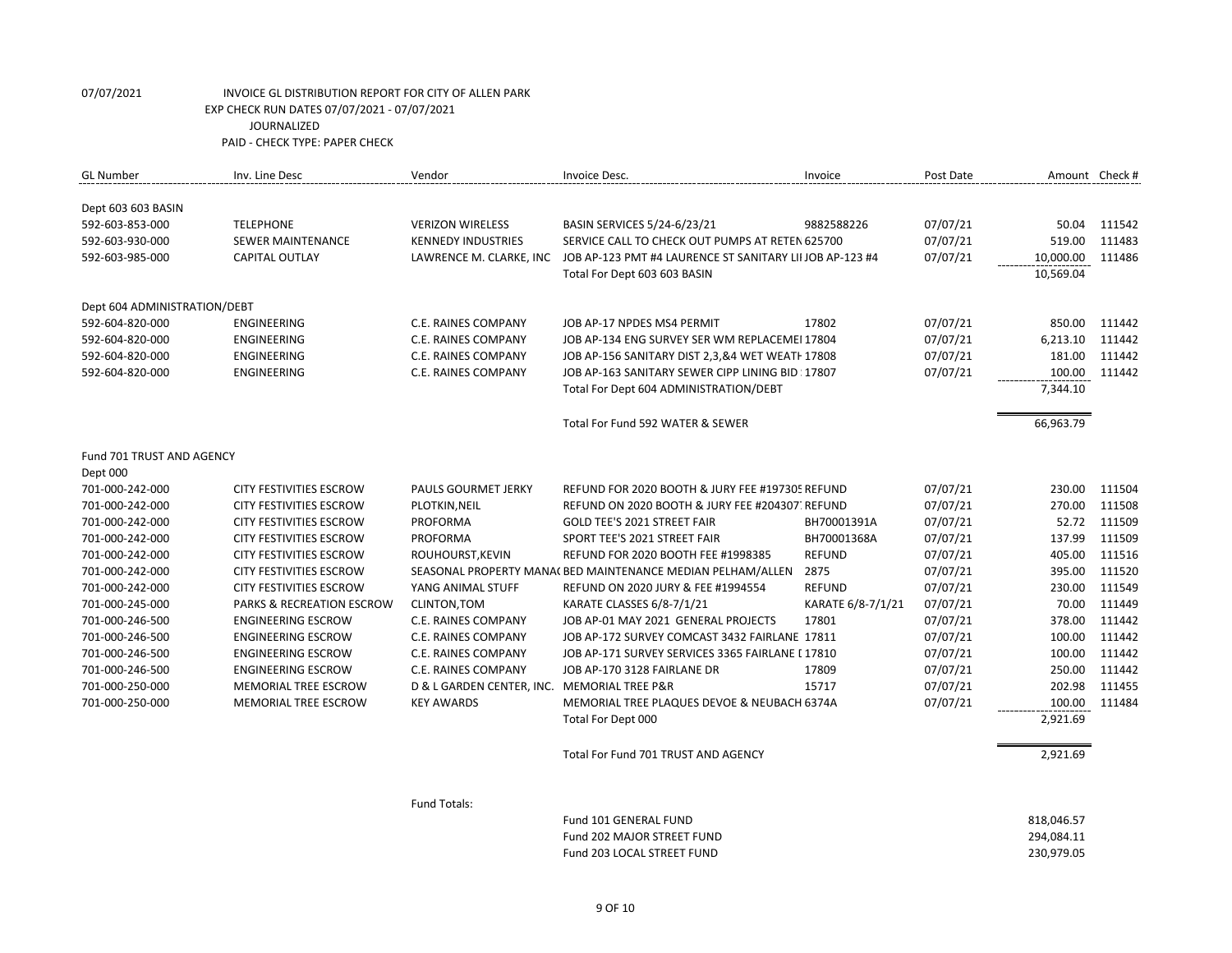| <b>GL Number</b>             | Inv. Line Desc                       | Vendor                                      | Invoice Desc.                                               | Invoice           | Post Date | Amount Check # |        |
|------------------------------|--------------------------------------|---------------------------------------------|-------------------------------------------------------------|-------------------|-----------|----------------|--------|
|                              |                                      |                                             |                                                             |                   |           |                |        |
| Dept 603 603 BASIN           |                                      |                                             |                                                             |                   |           |                |        |
| 592-603-853-000              | <b>TELEPHONE</b>                     | <b>VERIZON WIRELESS</b>                     | BASIN SERVICES 5/24-6/23/21                                 | 9882588226        | 07/07/21  | 50.04          | 111542 |
| 592-603-930-000              | <b>SEWER MAINTENANCE</b>             | <b>KENNEDY INDUSTRIES</b>                   | SERVICE CALL TO CHECK OUT PUMPS AT RETEN 625700             |                   | 07/07/21  | 519.00         | 111483 |
| 592-603-985-000              | <b>CAPITAL OUTLAY</b>                | LAWRENCE M. CLARKE, INC                     | JOB AP-123 PMT #4 LAURENCE ST SANITARY LII JOB AP-123 #4    |                   | 07/07/21  | 10,000.00      | 111486 |
|                              |                                      |                                             | Total For Dept 603 603 BASIN                                |                   |           | 10,569.04      |        |
| Dept 604 ADMINISTRATION/DEBT |                                      |                                             |                                                             |                   |           |                |        |
| 592-604-820-000              | <b>ENGINEERING</b>                   | C.E. RAINES COMPANY                         | JOB AP-17 NPDES MS4 PERMIT                                  | 17802             | 07/07/21  | 850.00         | 111442 |
| 592-604-820-000              | ENGINEERING                          | C.E. RAINES COMPANY                         | JOB AP-134 ENG SURVEY SER WM REPLACEMEI 17804               |                   | 07/07/21  | 6,213.10       | 111442 |
| 592-604-820-000              | ENGINEERING                          | C.E. RAINES COMPANY                         | JOB AP-156 SANITARY DIST 2,3,&4 WET WEATH 17808             |                   | 07/07/21  | 181.00         | 111442 |
| 592-604-820-000              | <b>ENGINEERING</b>                   | <b>C.E. RAINES COMPANY</b>                  | JOB AP-163 SANITARY SEWER CIPP LINING BID : 17807           |                   | 07/07/21  | 100.00         | 111442 |
|                              |                                      |                                             | Total For Dept 604 ADMINISTRATION/DEBT                      |                   |           | 7,344.10       |        |
|                              |                                      |                                             | Total For Fund 592 WATER & SEWER                            |                   |           | 66,963.79      |        |
| Fund 701 TRUST AND AGENCY    |                                      |                                             |                                                             |                   |           |                |        |
| Dept 000                     |                                      |                                             |                                                             |                   |           |                |        |
| 701-000-242-000              | <b>CITY FESTIVITIES ESCROW</b>       | <b>PAULS GOURMET JERKY</b>                  | REFUND FOR 2020 BOOTH & JURY FEE #197305 REFUND             |                   | 07/07/21  | 230.00         | 111504 |
| 701-000-242-000              | CITY FESTIVITIES ESCROW              | PLOTKIN, NEIL                               | REFUND ON 2020 BOOTH & JURY FEE #204307. REFUND             |                   | 07/07/21  | 270.00         | 111508 |
| 701-000-242-000              | <b>CITY FESTIVITIES ESCROW</b>       | <b>PROFORMA</b>                             | <b>GOLD TEE'S 2021 STREET FAIR</b>                          | BH70001391A       | 07/07/21  | 52.72          | 111509 |
| 701-000-242-000              | <b>CITY FESTIVITIES ESCROW</b>       | PROFORMA                                    | SPORT TEE'S 2021 STREET FAIR                                | BH70001368A       | 07/07/21  | 137.99         | 111509 |
| 701-000-242-000              | <b>CITY FESTIVITIES ESCROW</b>       | ROUHOURST.KEVIN                             | REFUND FOR 2020 BOOTH FEE #1998385                          | <b>REFUND</b>     | 07/07/21  | 405.00         | 111516 |
| 701-000-242-000              | <b>CITY FESTIVITIES ESCROW</b>       |                                             | SEASONAL PROPERTY MANA( BED MAINTENANCE MEDIAN PELHAM/ALLEN | 2875              | 07/07/21  | 395.00         | 111520 |
| 701-000-242-000              | <b>CITY FESTIVITIES ESCROW</b>       | YANG ANIMAL STUFF                           | REFUND ON 2020 JURY & FEE #1994554                          | <b>REFUND</b>     | 07/07/21  | 230.00         | 111549 |
| 701-000-245-000              | <b>PARKS &amp; RECREATION ESCROW</b> | CLINTON, TOM                                | KARATE CLASSES 6/8-7/1/21                                   | KARATE 6/8-7/1/21 | 07/07/21  | 70.00          | 111449 |
| 701-000-246-500              | <b>ENGINEERING ESCROW</b>            | C.E. RAINES COMPANY                         | JOB AP-01 MAY 2021 GENERAL PROJECTS                         | 17801             | 07/07/21  | 378.00         | 111442 |
| 701-000-246-500              | <b>ENGINEERING ESCROW</b>            | C.E. RAINES COMPANY                         | JOB AP-172 SURVEY COMCAST 3432 FAIRLANE 17811               |                   | 07/07/21  | 100.00         | 111442 |
| 701-000-246-500              | <b>ENGINEERING ESCROW</b>            | C.E. RAINES COMPANY                         | JOB AP-171 SURVEY SERVICES 3365 FAIRLANE [ 17810            |                   | 07/07/21  | 100.00         | 111442 |
| 701-000-246-500              | <b>ENGINEERING ESCROW</b>            | <b>C.E. RAINES COMPANY</b>                  | JOB AP-170 3128 FAIRLANE DR                                 | 17809             | 07/07/21  | 250.00         | 111442 |
| 701-000-250-000              | <b>MEMORIAL TREE ESCROW</b>          | D & L GARDEN CENTER, INC. MEMORIAL TREE P&R |                                                             | 15717             | 07/07/21  | 202.98         | 111455 |
| 701-000-250-000              | MEMORIAL TREE ESCROW                 | <b>KEY AWARDS</b>                           | MEMORIAL TREE PLAQUES DEVOE & NEUBACH 6374A                 |                   | 07/07/21  | 100.00         | 111484 |
|                              |                                      |                                             | Total For Dept 000                                          |                   |           | 2,921.69       |        |
|                              |                                      |                                             | Total For Fund 701 TRUST AND AGENCY                         |                   |           | 2,921.69       |        |
|                              |                                      |                                             |                                                             |                   |           |                |        |

Fund Totals:

| Fund 101 GENERAL FUND      | 818.046.57 |
|----------------------------|------------|
| Fund 202 MAJOR STREET FUND | 294.084.11 |
| Fund 203 LOCAL STREET FUND | 230.979.05 |